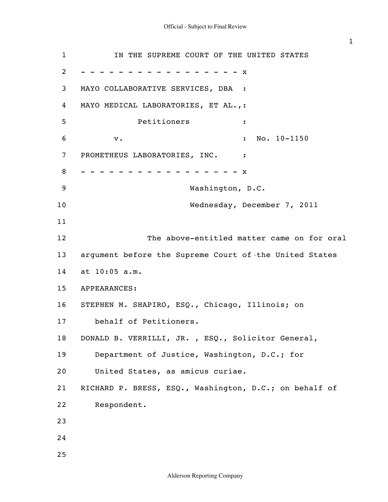| $\mathbf{1}$ | IN THE SUPREME COURT OF THE UNITED STATES              |
|--------------|--------------------------------------------------------|
| 2            | x                                                      |
| 3            | MAYO COLLABORATIVE SERVICES, DBA :                     |
| 4            | MAYO MEDICAL LABORATORIES, ET AL.,:                    |
| 5            | Petitioners<br>$\ddot{\phantom{a}}$                    |
| 6            | No. 10-1150<br>${\bf v}$ .<br>$\ddot{\cdot}$           |
| 7            | PROMETHEUS LABORATORIES, INC.<br>$\ddot{\cdot}$        |
| 8            | $\mathbf{x}$                                           |
| 9            | Washington, D.C.                                       |
| 10           | Wednesday, December 7, 2011                            |
| 11           |                                                        |
| 12           | The above-entitled matter came on for oral             |
| 13           | argument before the Supreme Court of the United States |
| 14           | at 10:05 a.m.                                          |
| 15           | APPEARANCES:                                           |
| 16           | STEPHEN M. SHAPIRO, ESQ., Chicago, Illinois; on        |
| 17           | behalf of Petitioners.                                 |
| 18           | DONALD B. VERRILLI, JR., ESQ., Solicitor General,      |
| 19           | Department of Justice, Washington, D.C.; for           |
| 20           | United States, as amicus curiae.                       |
| 21           | RICHARD P. BRESS, ESQ., Washington, D.C.; on behalf of |
| 22           | Respondent.                                            |
| 23           |                                                        |
| 24           |                                                        |
| 25           |                                                        |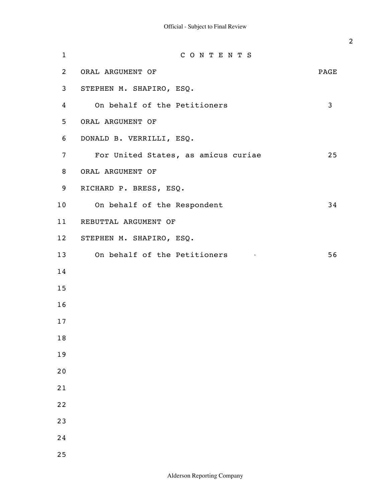| $\mathbf{1}$    | CONTENTS                                                 |      |
|-----------------|----------------------------------------------------------|------|
| $\mathbf{2}$    | ORAL ARGUMENT OF                                         | PAGE |
| 3 <sup>7</sup>  | STEPHEN M. SHAPIRO, ESQ.                                 |      |
| 4               | On behalf of the Petitioners                             | 3    |
| 5               | ORAL ARGUMENT OF                                         |      |
| 6               | DONALD B. VERRILLI, ESQ.                                 |      |
| $\overline{7}$  | For United States, as amicus curiae                      | 25   |
| 8               | ORAL ARGUMENT OF                                         |      |
| 9               | RICHARD P. BRESS, ESQ.                                   |      |
| 10 <sub>o</sub> | On behalf of the Respondent                              | 34   |
| 11              | REBUTTAL ARGUMENT OF                                     |      |
| 12              | STEPHEN M. SHAPIRO, ESQ.                                 |      |
| 13              | On behalf of the Petitioners<br><b>Contract Contract</b> | 56   |
| 14              |                                                          |      |
| 15              |                                                          |      |
| 16              |                                                          |      |
| 17              |                                                          |      |
| 18              |                                                          |      |
| 19              |                                                          |      |
| 20              |                                                          |      |
| 21              |                                                          |      |
| 22              |                                                          |      |
| 23              |                                                          |      |
| 24              |                                                          |      |
| 25              |                                                          |      |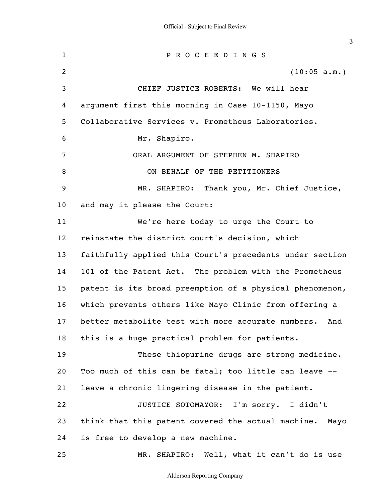1 2 3 4 5 6 7 8 9 10 11 12 13 14 15 16 17 18 19 20 21 22 23 24 25 P R O C E E D I N G S (10:05 a.m.) CHIEF JUSTICE ROBERTS: We will hear argument first this morning in Case 10-1150, Mayo Collaborative Services v. Prometheus Laboratories. Mr. Shapiro. ORAL ARGUMENT OF STEPHEN M. SHAPIRO ON BEHALF OF THE PETITIONERS MR. SHAPIRO: Thank you, Mr. Chief Justice, and may it please the Court: We're here today to urge the Court to reinstate the district court's decision, which faithfully applied this Court's precedents under section 101 of the Patent Act. The problem with the Prometheus patent is its broad preemption of a physical phenomenon, which prevents others like Mayo Clinic from offering a better metabolite test with more accurate numbers. And this is a huge practical problem for patients. These thiopurine drugs are strong medicine. Too much of this can be fatal; too little can leave - leave a chronic lingering disease in the patient. JUSTICE SOTOMAYOR: I'm sorry. I didn't think that this patent covered the actual machine. Mayo is free to develop a new machine. MR. SHAPIRO: Well, what it can't do is use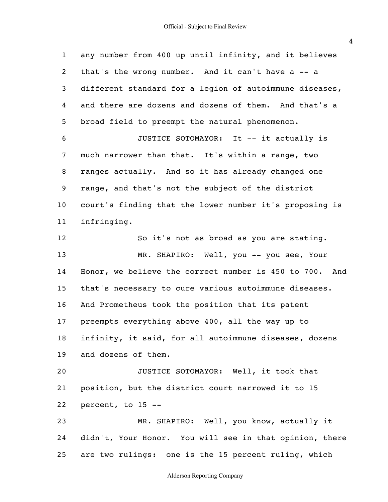1 2 3 4 5 6 7 8 9 10 11 12 13 14 15 16 17 18 19 20 21 22 23 24 25 any number from 400 up until infinity, and it believes that's the wrong number. And it can't have a -- a different standard for a legion of autoimmune diseases, and there are dozens and dozens of them. And that's a broad field to preempt the natural phenomenon. JUSTICE SOTOMAYOR: It -- it actually is much narrower than that. It's within a range, two ranges actually. And so it has already changed one range, and that's not the subject of the district court's finding that the lower number it's proposing is infringing. So it's not as broad as you are stating. MR. SHAPIRO: Well, you -- you see, Your Honor, we believe the correct number is 450 to 700. And that's necessary to cure various autoimmune diseases. And Prometheus took the position that its patent preempts everything above 400, all the way up to infinity, it said, for all autoimmune diseases, dozens and dozens of them. JUSTICE SOTOMAYOR: Well, it took that position, but the district court narrowed it to 15 percent, to 15 -- MR. SHAPIRO: Well, you know, actually it didn't, Your Honor. You will see in that opinion, there are two rulings: one is the 15 percent ruling, which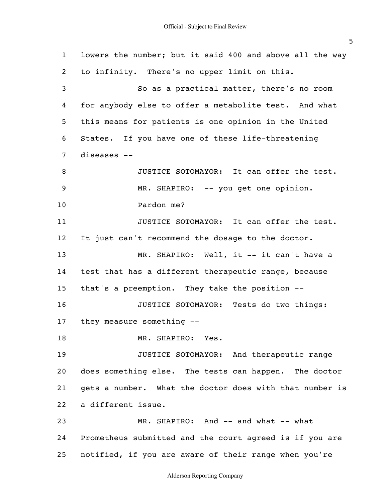1 2 3 4 5 6 7 8 9 10 11 12 13 14 15 16 17 18 19 20 21 22 23 24 25 lowers the number; but it said 400 and above all the way to infinity. There's no upper limit on this. So as a practical matter, there's no room for anybody else to offer a metabolite test. And what this means for patients is one opinion in the United States. If you have one of these life-threatening diseases -- JUSTICE SOTOMAYOR: It can offer the test. MR. SHAPIRO: -- you get one opinion. Pardon me? JUSTICE SOTOMAYOR: It can offer the test. It just can't recommend the dosage to the doctor. MR. SHAPIRO: Well, it -- it can't have a test that has a different therapeutic range, because that's a preemption. They take the position -- JUSTICE SOTOMAYOR: Tests do two things: they measure something -- MR. SHAPIRO: Yes. JUSTICE SOTOMAYOR: And therapeutic range does something else. The tests can happen. The doctor gets a number. What the doctor does with that number is a different issue. MR. SHAPIRO: And -- and what -- what Prometheus submitted and the court agreed is if you are notified, if you are aware of their range when you're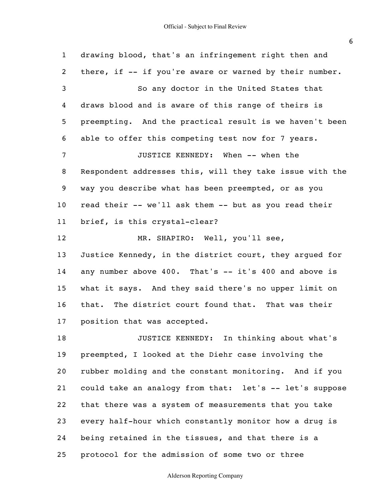1 2 3 4 5 6 7 8 9 10 11 12 13 14 15 16 17 18 19 20 21 22 23 24 25 drawing blood, that's an infringement right then and there, if -- if you're aware or warned by their number. So any doctor in the United States that draws blood and is aware of this range of theirs is preempting. And the practical result is we haven't been able to offer this competing test now for 7 years. JUSTICE KENNEDY: When -- when the Respondent addresses this, will they take issue with the way you describe what has been preempted, or as you read their -- we'll ask them -- but as you read their brief, is this crystal-clear? MR. SHAPIRO: Well, you'll see, Justice Kennedy, in the district court, they argued for any number above 400. That's -- it's 400 and above is what it says. And they said there's no upper limit on that. The district court found that. That was their position that was accepted. JUSTICE KENNEDY: In thinking about what's preempted, I looked at the Diehr case involving the rubber molding and the constant monitoring. And if you could take an analogy from that: let's -- let's suppose that there was a system of measurements that you take every half-hour which constantly monitor how a drug is being retained in the tissues, and that there is a protocol for the admission of some two or three

## Alderson Reporting Company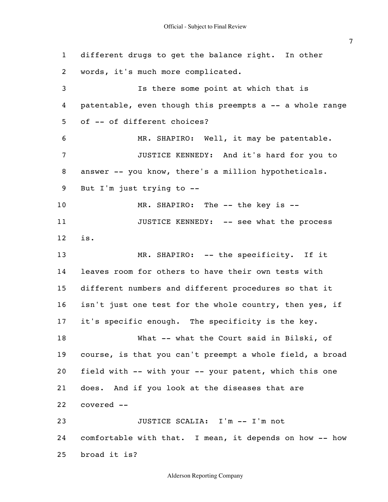1 2 3 4 5 6 7 8 9 10 11 12 13 14 15 16 17 18 19 20 21 22 23 24 25 different drugs to get the balance right. In other words, it's much more complicated. Is there some point at which that is patentable, even though this preempts a -- a whole range of -- of different choices? MR. SHAPIRO: Well, it may be patentable. JUSTICE KENNEDY: And it's hard for you to answer -- you know, there's a million hypotheticals. But I'm just trying to -- MR. SHAPIRO: The -- the key is -- JUSTICE KENNEDY: -- see what the process is. MR. SHAPIRO: -- the specificity. If it leaves room for others to have their own tests with different numbers and different procedures so that it isn't just one test for the whole country, then yes, if it's specific enough. The specificity is the key. What -- what the Court said in Bilski, of course, is that you can't preempt a whole field, a broad field with -- with your -- your patent, which this one does. And if you look at the diseases that are covered -- JUSTICE SCALIA: I'm -- I'm not comfortable with that. I mean, it depends on how -- how broad it is?

Alderson Reporting Company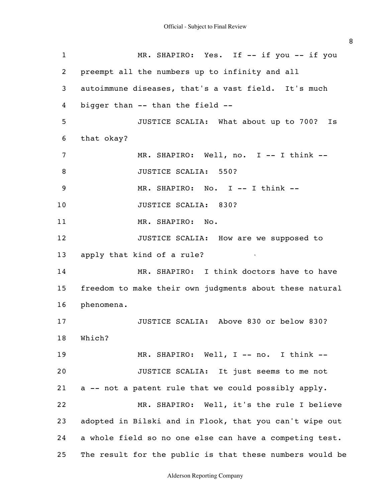| $\mathbf{1}$   | MR. SHAPIRO: Yes. If -- if you -- if you                 |
|----------------|----------------------------------------------------------|
| 2              | preempt all the numbers up to infinity and all           |
| 3              | autoimmune diseases, that's a vast field. It's much      |
| 4              | bigger than -- than the field --                         |
| 5              | JUSTICE SCALIA: What about up to 700?<br>Is              |
| 6              | that okay?                                               |
| $\overline{7}$ | MR. SHAPIRO: Well, no. I -- I think --                   |
| 8              | JUSTICE SCALIA: 550?                                     |
| 9              | MR. SHAPIRO: No. I -- I think --                         |
| 10             | JUSTICE SCALIA: 830?                                     |
| 11             | MR. SHAPIRO: No.                                         |
| 12             | JUSTICE SCALIA: How are we supposed to                   |
| 13             | apply that kind of a rule?                               |
| 14             | MR. SHAPIRO: I think doctors have to have                |
| 15             | freedom to make their own judgments about these natural  |
| 16             | phenomena.                                               |
| 17             | JUSTICE SCALIA: Above 830 or below 830?                  |
| 18             | Which?                                                   |
| 19             | MR. SHAPIRO: Well, I -- no. I think --                   |
| 20             | JUSTICE SCALIA: It just seems to me not                  |
| 21             | a -- not a patent rule that we could possibly apply.     |
| 22             | MR. SHAPIRO: Well, it's the rule I believe               |
| 23             | adopted in Bilski and in Flook, that you can't wipe out  |
| 24             | a whole field so no one else can have a competing test.  |
| 25             | The result for the public is that these numbers would be |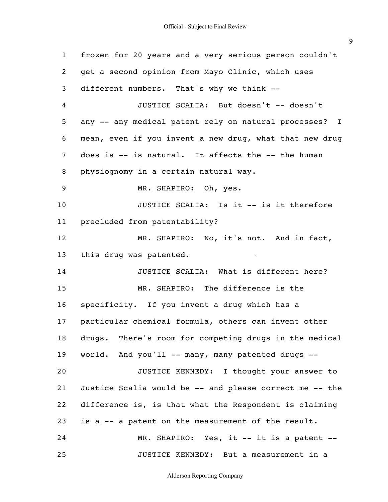| $\mathbf{1}$ | frozen for 20 years and a very serious person couldn't  |
|--------------|---------------------------------------------------------|
| 2            | get a second opinion from Mayo Clinic, which uses       |
| 3            | different numbers. That's why we think --               |
| 4            | JUSTICE SCALIA: But doesn't -- doesn't                  |
| 5            | any -- any medical patent rely on natural processes? I  |
| 6            | mean, even if you invent a new drug, what that new drug |
| 7            | does is -- is natural. It affects the -- the human      |
| 8            | physiognomy in a certain natural way.                   |
| 9            | MR. SHAPIRO: Oh, yes.                                   |
| 10           | JUSTICE SCALIA: Is it -- is it therefore                |
| 11           | precluded from patentability?                           |
| 12           | MR. SHAPIRO: No, it's not. And in fact,                 |
| 13           | this drug was patented.                                 |
| 14           | JUSTICE SCALIA: What is different here?                 |
| 15           | MR. SHAPIRO: The difference is the                      |
| 16           | specificity. If you invent a drug which has a           |
| 17           | particular chemical formula, others can invent other    |
| 18           | drugs. There's room for competing drugs in the medical  |
| 19           | world. And you'll -- many, many patented drugs --       |
| 20           | JUSTICE KENNEDY: I thought your answer to               |
| 21           | Justice Scalia would be -- and please correct me -- the |
| 22           | difference is, is that what the Respondent is claiming  |
| 23           | is a -- a patent on the measurement of the result.      |
| 24           | MR. SHAPIRO: Yes, it -- it is a patent --               |
| 25           | JUSTICE KENNEDY: But a measurement in a                 |

Alderson Reporting Company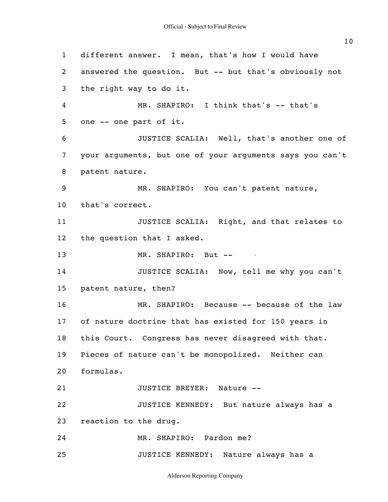1 2 3 4 5 6 7 8 9 10 11 12 13 14 15 16 17 18 19 20 21 22 23 24 25 different answer. I mean, that's how I would have answered the question. But -- but that's obviously not the right way to do it. MR. SHAPIRO: I think that's -- that's one -- one part of it. JUSTICE SCALIA: Well, that's another one of your arguments, but one of your arguments says you can't patent nature. MR. SHAPIRO: You can't patent nature, that's correct. JUSTICE SCALIA: Right, and that relates to the question that I asked. MR. SHAPIRO: But --JUSTICE SCALIA: Now, tell me why you can't patent nature, then? MR. SHAPIRO: Because -- because of the law of nature doctrine that has existed for 150 years in this Court. Congress has never disagreed with that. Pieces of nature can't be monopolized. Neither can formulas. JUSTICE BREYER: Nature -- JUSTICE KENNEDY: But nature always has a reaction to the drug. MR. SHAPIRO: Pardon me? JUSTICE KENNEDY: Nature always has a

Alderson Reporting Company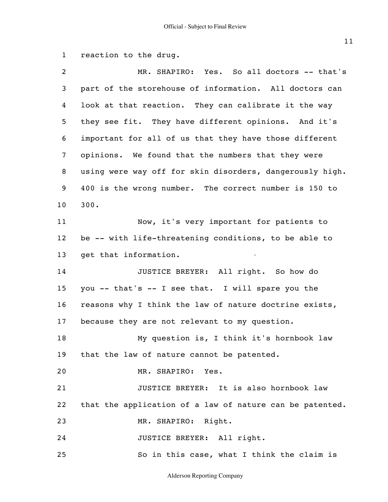```
1
reaction to the drug.
```

| 2               | MR. SHAPIRO: Yes. So all doctors -- that's               |
|-----------------|----------------------------------------------------------|
| 3               | part of the storehouse of information. All doctors can   |
| 4               | look at that reaction. They can calibrate it the way     |
| 5               | they see fit. They have different opinions. And it's     |
| 6               | important for all of us that they have those different   |
| $\overline{7}$  | opinions. We found that the numbers that they were       |
| 8               | using were way off for skin disorders, dangerously high. |
| 9               | 400 is the wrong number. The correct number is 150 to    |
| 10 <sub>o</sub> | 300.                                                     |
| 11              | Now, it's very important for patients to                 |
| 12 <sub>2</sub> | be -- with life-threatening conditions, to be able to    |
| 13              | get that information.                                    |
| 14              | JUSTICE BREYER: All right. So how do                     |
| 15              | you -- that's -- I see that. I will spare you the        |
| 16              | reasons why I think the law of nature doctrine exists,   |
| 17              | because they are not relevant to my question.            |
| 18              | My question is, I think it's hornbook law                |
| 19              | that the law of nature cannot be patented.               |
| 20              | MR. SHAPIRO: Yes.                                        |
| 21              | JUSTICE BREYER: It is also hornbook law                  |
| 22              | that the application of a law of nature can be patented. |
| 23              | MR. SHAPIRO: Right.                                      |
| 24              | JUSTICE BREYER: All right.                               |
| 25              | So in this case, what I think the claim is               |

Alderson Reporting Company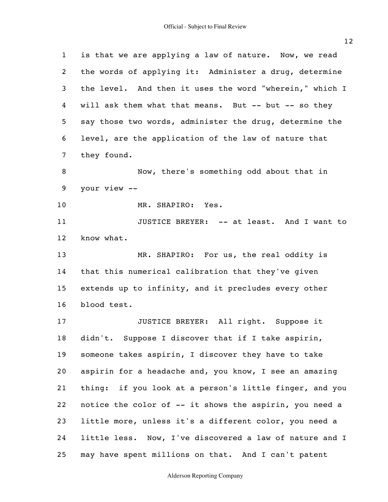| $\mathbf{1}$   | is that we are applying a law of nature. Now, we read   |
|----------------|---------------------------------------------------------|
| 2              | the words of applying it: Administer a drug, determine  |
| 3              | the level. And then it uses the word "wherein," which I |
| 4              | will ask them what that means. But -- but -- so they    |
| 5              | say those two words, administer the drug, determine the |
| 6              | level, are the application of the law of nature that    |
| $\overline{7}$ | they found.                                             |
| 8              | Now, there's something odd about that in                |
| 9              | your view --                                            |
| 10             | MR. SHAPIRO: Yes.                                       |
| 11             | JUSTICE BREYER: -- at least. And I want to              |
| 12             | know what.                                              |
| 13             | MR. SHAPIRO: For us, the real oddity is                 |
| 14             | that this numerical calibration that they've given      |
| 15             | extends up to infinity, and it precludes every other    |
| 16             | blood test.                                             |
| 17             | JUSTICE BREYER: All right. Suppose it                   |
| 18             | didn't. Suppose I discover that if I take aspirin,      |
| 19             | someone takes aspirin, I discover they have to take     |
| 20             | aspirin for a headache and, you know, I see an amazing  |
| 21             | thing: if you look at a person's little finger, and you |
| 22             | notice the color of -- it shows the aspirin, you need a |
| 23             | little more, unless it's a different color, you need a  |
| 24             | little less. Now, I've discovered a law of nature and I |
| 25             | may have spent millions on that. And I can't patent     |

# Alderson Reporting Company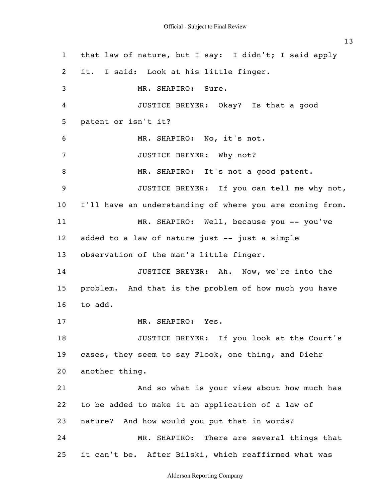1 2 3 4 5 6 7 8 9 10 11 12 13 14 15 16 17 18 19 20 21 22 23 24 25 that law of nature, but I say: I didn't; I said apply it. I said: Look at his little finger. MR. SHAPIRO: Sure. JUSTICE BREYER: Okay? Is that a good patent or isn't it? MR. SHAPIRO: No, it's not. JUSTICE BREYER: Why not? MR. SHAPIRO: It's not a good patent. JUSTICE BREYER: If you can tell me why not, I'll have an understanding of where you are coming from. MR. SHAPIRO: Well, because you -- you've added to a law of nature just -- just a simple observation of the man's little finger. JUSTICE BREYER: Ah. Now, we're into the problem. And that is the problem of how much you have to add. MR. SHAPIRO: Yes. JUSTICE BREYER: If you look at the Court's cases, they seem to say Flook, one thing, and Diehr another thing. And so what is your view about how much has to be added to make it an application of a law of nature? And how would you put that in words? MR. SHAPIRO: There are several things that it can't be. After Bilski, which reaffirmed what was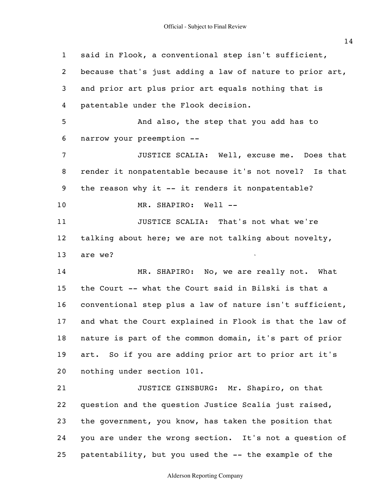1 2 3 4 5 6 7 8 9 10 11 12 13 14 15 16 17 18 19 20 21 22 23 24 25 said in Flook, a conventional step isn't sufficient, because that's just adding a law of nature to prior art, and prior art plus prior art equals nothing that is patentable under the Flook decision. And also, the step that you add has to narrow your preemption -- JUSTICE SCALIA: Well, excuse me. Does that render it nonpatentable because it's not novel? Is that the reason why it -- it renders it nonpatentable? MR. SHAPIRO: Well --JUSTICE SCALIA: That's not what we're talking about here; we are not talking about novelty, are we? MR. SHAPIRO: No, we are really not. What the Court -- what the Court said in Bilski is that a conventional step plus a law of nature isn't sufficient, and what the Court explained in Flook is that the law of nature is part of the common domain, it's part of prior art. So if you are adding prior art to prior art it's nothing under section 101. JUSTICE GINSBURG: Mr. Shapiro, on that question and the question Justice Scalia just raised, the government, you know, has taken the position that you are under the wrong section. It's not a question of patentability, but you used the -- the example of the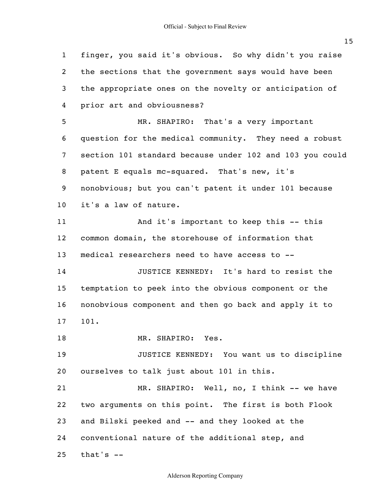1

2

3

4

5

6

7

8

9

10

11

12

13

14

15

16

17

18

19

20

21

22

23

24

25

that's  $-$ 

finger, you said it's obvious. So why didn't you raise the sections that the government says would have been the appropriate ones on the novelty or anticipation of prior art and obviousness? MR. SHAPIRO: That's a very important question for the medical community. They need a robust section 101 standard because under 102 and 103 you could patent E equals mc-squared. That's new, it's nonobvious; but you can't patent it under 101 because it's a law of nature. And it's important to keep this -- this common domain, the storehouse of information that medical researchers need to have access to -- JUSTICE KENNEDY: It's hard to resist the temptation to peek into the obvious component or the nonobvious component and then go back and apply it to 101. MR. SHAPIRO: Yes. JUSTICE KENNEDY: You want us to discipline ourselves to talk just about 101 in this. MR. SHAPIRO: Well, no, I think -- we have two arguments on this point. The first is both Flook and Bilski peeked and -- and they looked at the conventional nature of the additional step, and

Alderson Reporting Company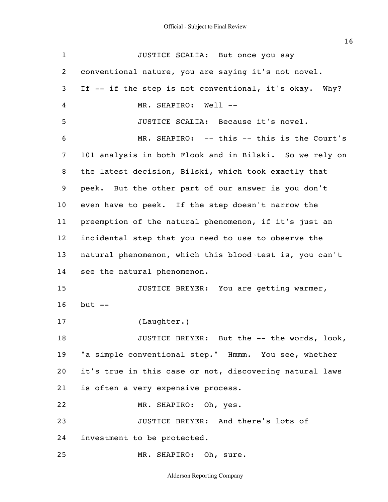| $\mathbf{1}$    | JUSTICE SCALIA: But once you say                        |
|-----------------|---------------------------------------------------------|
| 2               | conventional nature, you are saying it's not novel.     |
| 3               | If -- if the step is not conventional, it's okay. Why?  |
| 4               | MR. SHAPIRO: Well --                                    |
| 5               | JUSTICE SCALIA: Because it's novel.                     |
| 6               | MR. SHAPIRO: -- this -- this is the Court's             |
| $\overline{7}$  | 101 analysis in both Flook and in Bilski. So we rely on |
| 8               | the latest decision, Bilski, which took exactly that    |
| 9               | peek. But the other part of our answer is you don't     |
| 10 <sub>o</sub> | even have to peek. If the step doesn't narrow the       |
| 11              | preemption of the natural phenomenon, if it's just an   |
| 12              | incidental step that you need to use to observe the     |
| 13              | natural phenomenon, which this blood test is, you can't |
| 14              | see the natural phenomenon.                             |
| 15              | JUSTICE BREYER: You are getting warmer,                 |
| 16              | but $--$                                                |
| 17              | (Laughter.)                                             |
| 18              | JUSTICE BREYER: But the -- the words, look,             |
| 19              | "a simple conventional step." Hmmm. You see, whether    |
| 20              | it's true in this case or not, discovering natural laws |
| 21              | is often a very expensive process.                      |
| 22              | MR. SHAPIRO: Oh, yes.                                   |
| 23              | JUSTICE BREYER: And there's lots of                     |
| 24              | investment to be protected.                             |
| 25              | MR. SHAPIRO: Oh, sure.                                  |

Alderson Reporting Company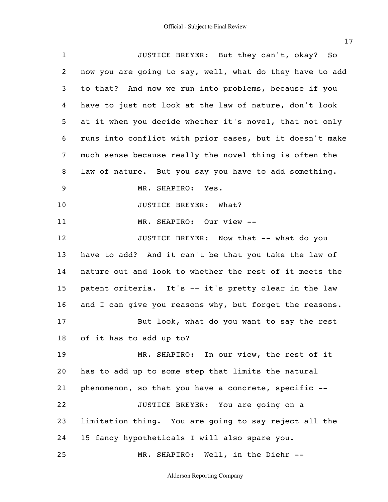1 2 3 4 5 6 7 8 9 10 11 12 13 14 15 16 17 18 19 20 21 22 23 24 25 JUSTICE BREYER: But they can't, okay? So now you are going to say, well, what do they have to add to that? And now we run into problems, because if you have to just not look at the law of nature, don't look at it when you decide whether it's novel, that not only runs into conflict with prior cases, but it doesn't make much sense because really the novel thing is often the law of nature. But you say you have to add something. MR. SHAPIRO: Yes. JUSTICE BREYER: What? MR. SHAPIRO: Our view -- JUSTICE BREYER: Now that -- what do you have to add? And it can't be that you take the law of nature out and look to whether the rest of it meets the patent criteria. It's -- it's pretty clear in the law and I can give you reasons why, but forget the reasons. But look, what do you want to say the rest of it has to add up to? MR. SHAPIRO: In our view, the rest of it has to add up to some step that limits the natural phenomenon, so that you have a concrete, specific -- JUSTICE BREYER: You are going on a limitation thing. You are going to say reject all the 15 fancy hypotheticals I will also spare you. MR. SHAPIRO: Well, in the Diehr --

Alderson Reporting Company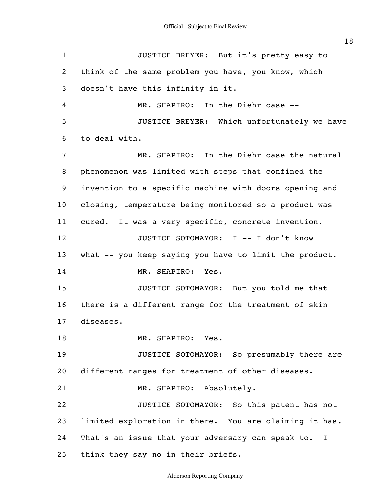1 2 3 4 5 6 7 8 9 10 11 12 13 14 15 16 17 18 19 20 21 22 23 24 25 JUSTICE BREYER: But it's pretty easy to think of the same problem you have, you know, which doesn't have this infinity in it. MR. SHAPIRO: In the Diehr case -- JUSTICE BREYER: Which unfortunately we have to deal with. MR. SHAPIRO: In the Diehr case the natural phenomenon was limited with steps that confined the invention to a specific machine with doors opening and closing, temperature being monitored so a product was cured. It was a very specific, concrete invention. JUSTICE SOTOMAYOR: I -- I don't know what -- you keep saying you have to limit the product. MR. SHAPIRO: Yes. JUSTICE SOTOMAYOR: But you told me that there is a different range for the treatment of skin diseases. MR. SHAPIRO: Yes. JUSTICE SOTOMAYOR: So presumably there are different ranges for treatment of other diseases. MR. SHAPIRO: Absolutely. JUSTICE SOTOMAYOR: So this patent has not limited exploration in there. You are claiming it has. That's an issue that your adversary can speak to. I think they say no in their briefs.

Alderson Reporting Company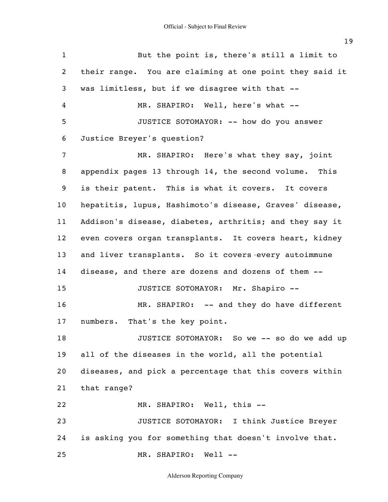1 2 3 4 5 6 7 8 9 10 11 12 13 14 15 16 17 18 19 20 21 22 23 24 25 But the point is, there's still a limit to their range. You are claiming at one point they said it was limitless, but if we disagree with that -- MR. SHAPIRO: Well, here's what --JUSTICE SOTOMAYOR: -- how do you answer Justice Breyer's question? MR. SHAPIRO: Here's what they say, joint appendix pages 13 through 14, the second volume. This is their patent. This is what it covers. It covers hepatitis, lupus, Hashimoto's disease, Graves' disease, Addison's disease, diabetes, arthritis; and they say it even covers organ transplants. It covers heart, kidney and liver transplants. So it covers every autoimmune disease, and there are dozens and dozens of them -- JUSTICE SOTOMAYOR: Mr. Shapiro -- MR. SHAPIRO: -- and they do have different numbers. That's the key point. JUSTICE SOTOMAYOR: So we -- so do we add up all of the diseases in the world, all the potential diseases, and pick a percentage that this covers within that range? MR. SHAPIRO: Well, this -- JUSTICE SOTOMAYOR: I think Justice Breyer is asking you for something that doesn't involve that. MR. SHAPIRO: Well --

Alderson Reporting Company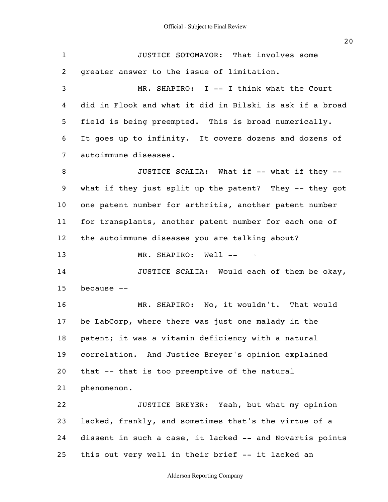| $\mathbf{1}$    | JUSTICE SOTOMAYOR: That involves some                    |
|-----------------|----------------------------------------------------------|
| $\overline{2}$  | greater answer to the issue of limitation.               |
| 3               | MR. SHAPIRO: I -- I think what the Court                 |
| 4               | did in Flook and what it did in Bilski is ask if a broad |
| 5               | field is being preempted. This is broad numerically.     |
| 6               | It goes up to infinity. It covers dozens and dozens of   |
| $\overline{7}$  | autoimmune diseases.                                     |
| 8               | JUSTICE SCALIA: What if -- what if they --               |
| 9               | what if they just split up the patent? They -- they got  |
| 10 <sub>o</sub> | one patent number for arthritis, another patent number   |
| 11              | for transplants, another patent number for each one of   |
| 12 <sub>2</sub> | the autoimmune diseases you are talking about?           |
| 13              | MR. SHAPIRO: Well --                                     |
| 14              | JUSTICE SCALIA: Would each of them be okay,              |
| 15              | because --                                               |
| 16              | MR. SHAPIRO: No, it wouldn't. That would                 |
| 17              | be LabCorp, where there was just one malady in the       |
| 18              | patent; it was a vitamin deficiency with a natural       |
| 19              | correlation. And Justice Breyer's opinion explained      |
| 20              | that -- that is too preemptive of the natural            |
| 21              | phenomenon.                                              |
| 22              | JUSTICE BREYER: Yeah, but what my opinion                |
| 23              | lacked, frankly, and sometimes that's the virtue of a    |
| 24              | dissent in such a case, it lacked -- and Novartis points |
| 25              | this out very well in their brief -- it lacked an        |

Alderson Reporting Company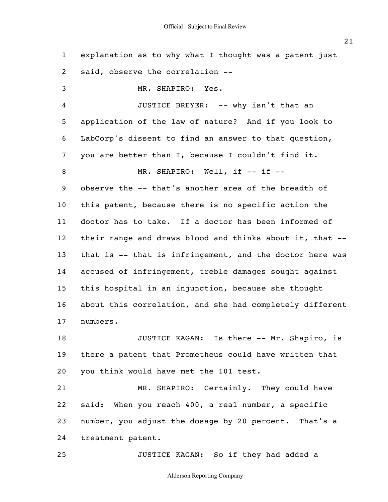1 2 3 4 5 6 7 8 9 10 11 12 13 14 15 16 17 18 19 20 21 22 23 explanation as to why what I thought was a patent just said, observe the correlation -- MR. SHAPIRO: Yes. JUSTICE BREYER: -- why isn't that an application of the law of nature? And if you look to LabCorp's dissent to find an answer to that question, you are better than I, because I couldn't find it. MR. SHAPIRO: Well, if -- if -observe the -- that's another area of the breadth of this patent, because there is no specific action the doctor has to take. If a doctor has been informed of their range and draws blood and thinks about it, that - that is  $--$  that is infringement, and the doctor here was accused of infringement, treble damages sought against this hospital in an injunction, because she thought about this correlation, and she had completely different numbers. JUSTICE KAGAN: Is there -- Mr. Shapiro, is there a patent that Prometheus could have written that you think would have met the 101 test. MR. SHAPIRO: Certainly. They could have said: When you reach 400, a real number, a specific number, you adjust the dosage by 20 percent. That's a

24 treatment patent.

25 JUSTICE KAGAN: So if they had added a

Alderson Reporting Company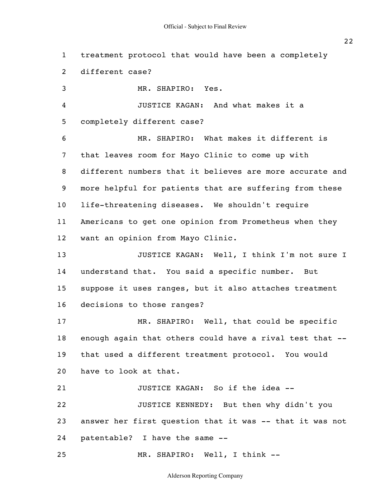1 2 3 4 5 6 7 8 9 10 11 12 13 14 15 16 17 18 19 20 21 22 23 24 25 treatment protocol that would have been a completely different case? MR. SHAPIRO: Yes. JUSTICE KAGAN: And what makes it a completely different case? MR. SHAPIRO: What makes it different is that leaves room for Mayo Clinic to come up with different numbers that it believes are more accurate and more helpful for patients that are suffering from these life-threatening diseases. We shouldn't require Americans to get one opinion from Prometheus when they want an opinion from Mayo Clinic. JUSTICE KAGAN: Well, I think I'm not sure I understand that. You said a specific number. But suppose it uses ranges, but it also attaches treatment decisions to those ranges? MR. SHAPIRO: Well, that could be specific enough again that others could have a rival test that - that used a different treatment protocol. You would have to look at that. JUSTICE KAGAN: So if the idea -- JUSTICE KENNEDY: But then why didn't you answer her first question that it was -- that it was not patentable? I have the same -- MR. SHAPIRO: Well, I think --

Alderson Reporting Company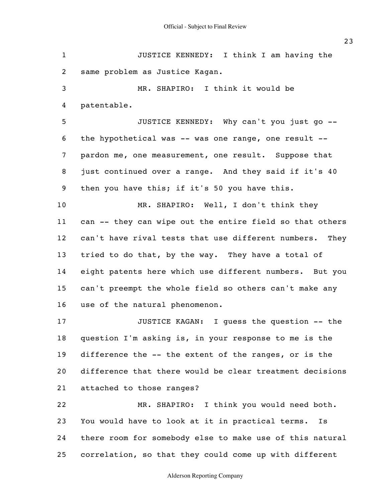1 2 3 4 5 6 7 8 9 10 11 12 13 14 15 16 17 18 19 20 21 22 23 24 25 JUSTICE KENNEDY: I think I am having the same problem as Justice Kagan. MR. SHAPIRO: I think it would be patentable. JUSTICE KENNEDY: Why can't you just go - the hypothetical was -- was one range, one result - pardon me, one measurement, one result. Suppose that just continued over a range. And they said if it's 40 then you have this; if it's 50 you have this. MR. SHAPIRO: Well, I don't think they can -- they can wipe out the entire field so that others can't have rival tests that use different numbers. They tried to do that, by the way. They have a total of eight patents here which use different numbers. But you can't preempt the whole field so others can't make any use of the natural phenomenon. JUSTICE KAGAN: I guess the question -- the question I'm asking is, in your response to me is the difference the -- the extent of the ranges, or is the difference that there would be clear treatment decisions attached to those ranges? MR. SHAPIRO: I think you would need both. You would have to look at it in practical terms. Is there room for somebody else to make use of this natural correlation, so that they could come up with different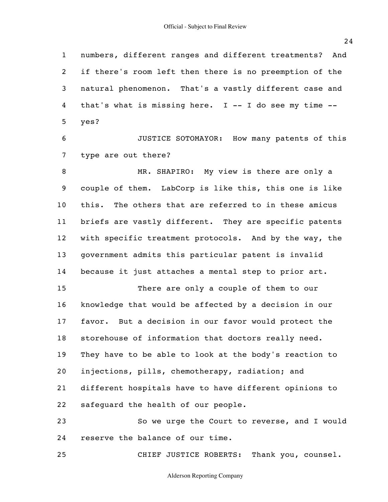1 2 3 4 5 6 7 8 9 10 11 12 13 14 15 16 17 18 19 20 21 22 23 24 25 numbers, different ranges and different treatments? And if there's room left then there is no preemption of the natural phenomenon. That's a vastly different case and that's what is missing here.  $I$  -- I do see my time -yes? JUSTICE SOTOMAYOR: How many patents of this type are out there? MR. SHAPIRO: My view is there are only a couple of them. LabCorp is like this, this one is like this. The others that are referred to in these amicus briefs are vastly different. They are specific patents with specific treatment protocols. And by the way, the government admits this particular patent is invalid because it just attaches a mental step to prior art. There are only a couple of them to our knowledge that would be affected by a decision in our favor. But a decision in our favor would protect the storehouse of information that doctors really need. They have to be able to look at the body's reaction to injections, pills, chemotherapy, radiation; and different hospitals have to have different opinions to safeguard the health of our people. So we urge the Court to reverse, and I would reserve the balance of our time. CHIEF JUSTICE ROBERTS: Thank you, counsel.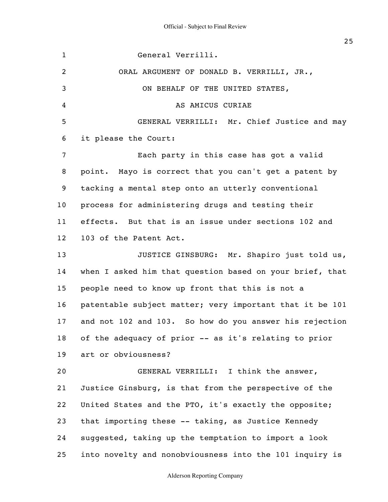1 2 3 4 5 6 7 8 9 10 11 12 13 14 15 16 17 18 19 20 21 22 23 24 25 General Verrilli. ORAL ARGUMENT OF DONALD B. VERRILLI, JR., ON BEHALF OF THE UNITED STATES, AS AMICUS CURIAE GENERAL VERRILLI: Mr. Chief Justice and may it please the Court: Each party in this case has got a valid point. Mayo is correct that you can't get a patent by tacking a mental step onto an utterly conventional process for administering drugs and testing their effects. But that is an issue under sections 102 and 103 of the Patent Act. JUSTICE GINSBURG: Mr. Shapiro just told us, when I asked him that question based on your brief, that people need to know up front that this is not a patentable subject matter; very important that it be 101 and not 102 and 103. So how do you answer his rejection of the adequacy of prior -- as it's relating to prior art or obviousness? GENERAL VERRILLI: I think the answer, Justice Ginsburg, is that from the perspective of the United States and the PTO, it's exactly the opposite; that importing these -- taking, as Justice Kennedy suggested, taking up the temptation to import a look into novelty and nonobviousness into the 101 inquiry is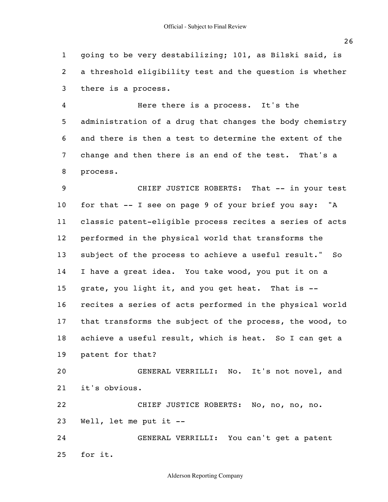1 2 3 going to be very destabilizing; 101, as Bilski said, is a threshold eligibility test and the question is whether there is a process.

4 5 6 7 8 Here there is a process. It's the administration of a drug that changes the body chemistry and there is then a test to determine the extent of the change and then there is an end of the test. That's a process.

9 10 11 12 13 14 15 16 17 18 19 CHIEF JUSTICE ROBERTS: That -- in your test for that -- I see on page 9 of your brief you say: "A classic patent-eligible process recites a series of acts performed in the physical world that transforms the subject of the process to achieve a useful result." So I have a great idea. You take wood, you put it on a grate, you light it, and you get heat. That is - recites a series of acts performed in the physical world that transforms the subject of the process, the wood, to achieve a useful result, which is heat. So I can get a patent for that?

20 21 GENERAL VERRILLI: No. It's not novel, and it's obvious.

22 23 CHIEF JUSTICE ROBERTS: No, no, no, no. Well, let me put it --

24 25 GENERAL VERRILLI: You can't get a patent for it.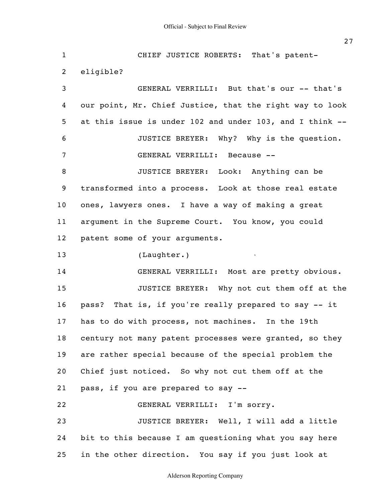1 2 3 4 5 6 7 8 9 10 11 12 13 14 15 16 17 18 19 20 21 22 23 24 25 CHIEF JUSTICE ROBERTS: That's patenteligible? GENERAL VERRILLI: But that's our -- that's our point, Mr. Chief Justice, that the right way to look at this issue is under 102 and under 103, and I think -- JUSTICE BREYER: Why? Why is the question. GENERAL VERRILLI: Because -- JUSTICE BREYER: Look: Anything can be transformed into a process. Look at those real estate ones, lawyers ones. I have a way of making a great argument in the Supreme Court. You know, you could patent some of your arguments. (Laughter.) GENERAL VERRILLI: Most are pretty obvious. JUSTICE BREYER: Why not cut them off at the pass? That is, if you're really prepared to say -- it has to do with process, not machines. In the 19th century not many patent processes were granted, so they are rather special because of the special problem the Chief just noticed. So why not cut them off at the pass, if you are prepared to say -- GENERAL VERRILLI: I'm sorry. JUSTICE BREYER: Well, I will add a little bit to this because I am questioning what you say here in the other direction. You say if you just look at

Alderson Reporting Company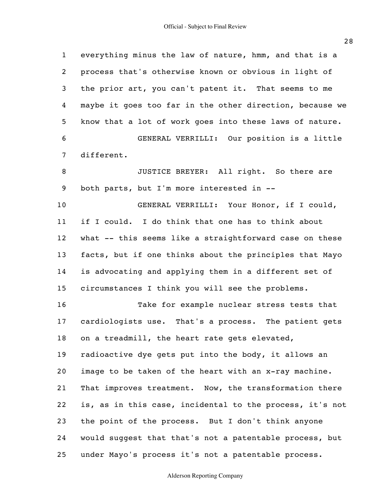1 2 3 4 5 6 7 8 9 10 11 12 13 14 15 16 17 18 19 20 21 22 23 24 25 everything minus the law of nature, hmm, and that is a process that's otherwise known or obvious in light of the prior art, you can't patent it. That seems to me maybe it goes too far in the other direction, because we know that a lot of work goes into these laws of nature. GENERAL VERRILLI: Our position is a little different. JUSTICE BREYER: All right. So there are both parts, but I'm more interested in -- GENERAL VERRILLI: Your Honor, if I could, if I could. I do think that one has to think about what -- this seems like a straightforward case on these facts, but if one thinks about the principles that Mayo is advocating and applying them in a different set of circumstances I think you will see the problems. Take for example nuclear stress tests that cardiologists use. That's a process. The patient gets on a treadmill, the heart rate gets elevated, radioactive dye gets put into the body, it allows an image to be taken of the heart with an x-ray machine. That improves treatment. Now, the transformation there is, as in this case, incidental to the process, it's not the point of the process. But I don't think anyone would suggest that that's not a patentable process, but under Mayo's process it's not a patentable process.

## Alderson Reporting Company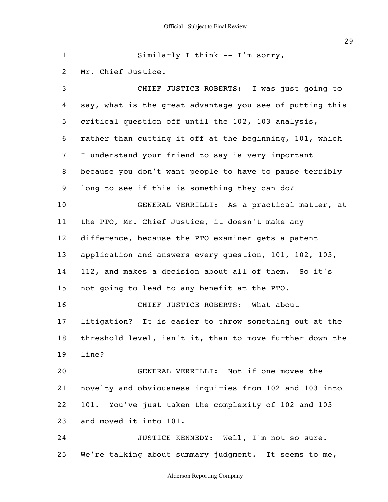1 2 3 4 5 6 7 8 9 10 11 12 13 14 15 16 17 18 19 20 21 22 23 24 25 Similarly I think -- I'm sorry, Mr. Chief Justice. CHIEF JUSTICE ROBERTS: I was just going to say, what is the great advantage you see of putting this critical question off until the 102, 103 analysis, rather than cutting it off at the beginning, 101, which I understand your friend to say is very important because you don't want people to have to pause terribly long to see if this is something they can do? GENERAL VERRILLI: As a practical matter, at the PTO, Mr. Chief Justice, it doesn't make any difference, because the PTO examiner gets a patent application and answers every question, 101, 102, 103, 112, and makes a decision about all of them. So it's not going to lead to any benefit at the PTO. CHIEF JUSTICE ROBERTS: What about litigation? It is easier to throw something out at the threshold level, isn't it, than to move further down the line? GENERAL VERRILLI: Not if one moves the novelty and obviousness inquiries from 102 and 103 into 101. You've just taken the complexity of 102 and 103 and moved it into 101. JUSTICE KENNEDY: Well, I'm not so sure. We're talking about summary judgment. It seems to me,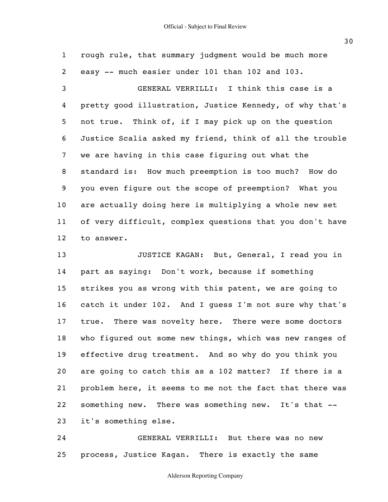1 2 3 4 5 6 7 8 9 10 11 12 rough rule, that summary judgment would be much more easy -- much easier under 101 than 102 and 103. GENERAL VERRILLI: I think this case is a pretty good illustration, Justice Kennedy, of why that's not true. Think of, if I may pick up on the question Justice Scalia asked my friend, think of all the trouble we are having in this case figuring out what the standard is: How much preemption is too much? How do you even figure out the scope of preemption? What you are actually doing here is multiplying a whole new set of very difficult, complex questions that you don't have to answer.

13 14 15 16 17 18 19 20 21 22 23 JUSTICE KAGAN: But, General, I read you in part as saying: Don't work, because if something strikes you as wrong with this patent, we are going to catch it under 102. And I guess I'm not sure why that's true. There was novelty here. There were some doctors who figured out some new things, which was new ranges of effective drug treatment. And so why do you think you are going to catch this as a 102 matter? If there is a problem here, it seems to me not the fact that there was something new. There was something new. It's that - it's something else.

24 25 GENERAL VERRILLI: But there was no new process, Justice Kagan. There is exactly the same

### Alderson Reporting Company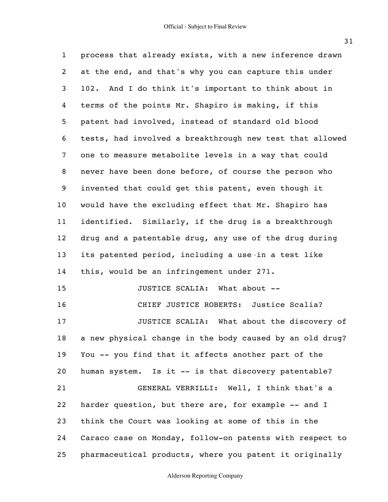1 2 3 4 5 6 7 8 9 10 11 12 13 14 15 16 17 18 19 20 21 22 23 24 25 process that already exists, with a new inference drawn at the end, and that's why you can capture this under 102. And I do think it's important to think about in terms of the points Mr. Shapiro is making, if this patent had involved, instead of standard old blood tests, had involved a breakthrough new test that allowed one to measure metabolite levels in a way that could never have been done before, of course the person who invented that could get this patent, even though it would have the excluding effect that Mr. Shapiro has identified. Similarly, if the drug is a breakthrough drug and a patentable drug, any use of the drug during its patented period, including a use in a test like this, would be an infringement under 271. JUSTICE SCALIA: What about -- CHIEF JUSTICE ROBERTS: Justice Scalia? JUSTICE SCALIA: What about the discovery of a new physical change in the body caused by an old drug? You -- you find that it affects another part of the human system. Is it -- is that discovery patentable? GENERAL VERRILLI: Well, I think that's a harder question, but there are, for example -- and I think the Court was looking at some of this in the Caraco case on Monday, follow-on patents with respect to pharmaceutical products, where you patent it originally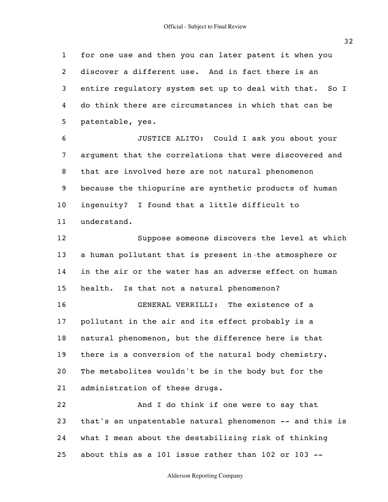1 2 3 4 5 for one use and then you can later patent it when you discover a different use. And in fact there is an entire regulatory system set up to deal with that. So I do think there are circumstances in which that can be patentable, yes.

6 7 8 9 10 11 JUSTICE ALITO: Could I ask you about your argument that the correlations that were discovered and that are involved here are not natural phenomenon because the thiopurine are synthetic products of human ingenuity? I found that a little difficult to understand.

12 13 14 15 Suppose someone discovers the level at which a human pollutant that is present in the atmosphere or in the air or the water has an adverse effect on human health. Is that not a natural phenomenon?

16 17 18 19 20 21 GENERAL VERRILLI: The existence of a pollutant in the air and its effect probably is a natural phenomenon, but the difference here is that there is a conversion of the natural body chemistry. The metabolites wouldn't be in the body but for the administration of these drugs.

22 23 24 25 And I do think if one were to say that that's an unpatentable natural phenomenon -- and this is what I mean about the destabilizing risk of thinking about this as a 101 issue rather than 102 or 103 --

## Alderson Reporting Company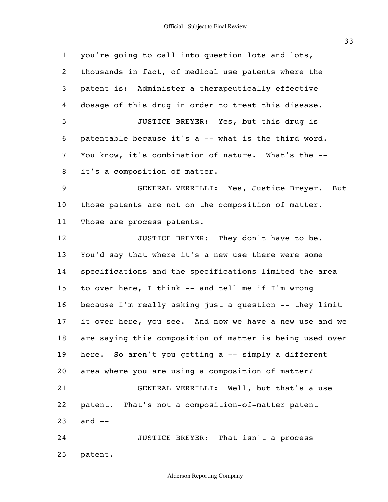1 2 3 4 5 6 7 8 9 10 11 12 13 14 15 16 17 18 19 20 21 22 23 24 25 you're going to call into question lots and lots, thousands in fact, of medical use patents where the patent is: Administer a therapeutically effective dosage of this drug in order to treat this disease. JUSTICE BREYER: Yes, but this drug is patentable because it's a -- what is the third word. You know, it's combination of nature. What's the -it's a composition of matter. GENERAL VERRILLI: Yes, Justice Breyer. But those patents are not on the composition of matter. Those are process patents. JUSTICE BREYER: They don't have to be. You'd say that where it's a new use there were some specifications and the specifications limited the area to over here, I think -- and tell me if I'm wrong because I'm really asking just a question -- they limit it over here, you see. And now we have a new use and we are saying this composition of matter is being used over here. So aren't you getting a -- simply a different area where you are using a composition of matter? GENERAL VERRILLI: Well, but that's a use patent. That's not a composition-of-matter patent and  $--$ JUSTICE BREYER: That isn't a process patent.

Alderson Reporting Company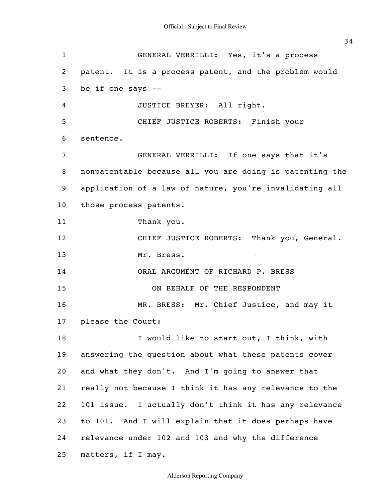1 2 3 4 5 6 7 8 9 10 11 12 13 14 15 16 17 18 19 20 21 22 23 24 25 GENERAL VERRILLI: Yes, it's a process patent. It is a process patent, and the problem would be if one says -- JUSTICE BREYER: All right. CHIEF JUSTICE ROBERTS: Finish your sentence. GENERAL VERRILLI: If one says that it's nonpatentable because all you are doing is patenting the application of a law of nature, you're invalidating all those process patents. Thank you. CHIEF JUSTICE ROBERTS: Thank you, General. Mr. Bress. ORAL ARGUMENT OF RICHARD P. BRESS ON BEHALF OF THE RESPONDENT MR. BRESS: Mr. Chief Justice, and may it please the Court: I would like to start out, I think, with answering the question about what these patents cover and what they don't. And I'm going to answer that really not because I think it has any relevance to the 101 issue. I actually don't think it has any relevance to 101. And I will explain that it does perhaps have relevance under 102 and 103 and why the difference matters, if I may.

Alderson Reporting Company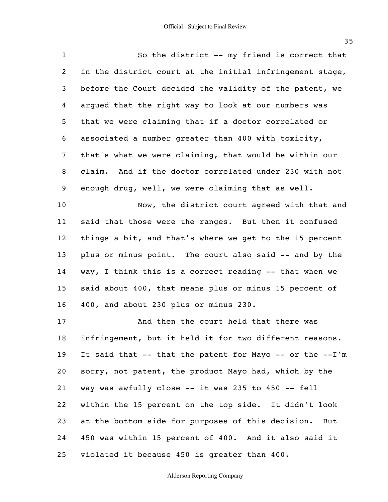| $\mathbf{1}$   | So the district -- my friend is correct that             |
|----------------|----------------------------------------------------------|
| $\overline{2}$ | in the district court at the initial infringement stage, |
| 3              | before the Court decided the validity of the patent, we  |
| 4              | arqued that the right way to look at our numbers was     |
| 5              | that we were claiming that if a doctor correlated or     |
| 6              | associated a number greater than 400 with toxicity,      |
| 7              | that's what we were claiming, that would be within our   |
| 8              | claim. And if the doctor correlated under 230 with not   |
| 9              | enough drug, well, we were claiming that as well.        |
| 10             | Now, the district court agreed with that and             |
| 11             | said that those were the ranges. But then it confused    |
| 12             | things a bit, and that's where we get to the 15 percent  |
| 13             | plus or minus point. The court also said -- and by the   |
| 14             | way, I think this is a correct reading -- that when we   |
| 15             | said about 400, that means plus or minus 15 percent of   |
| 16             | 400, and about 230 plus or minus 230.                    |
| 17             | And then the court held that there was                   |
| 18             | infringement, but it held it for two different reasons.  |
| 19             | It said that -- that the patent for Mayo -- or the --I'm |
| 20             | sorry, not patent, the product Mayo had, which by the    |
| 21             | way was awfully close -- it was 235 to 450 -- fell       |
| 22             | within the 15 percent on the top side. It didn't look    |
| 23             | at the bottom side for purposes of this decision. But    |
| 24             | 450 was within 15 percent of 400. And it also said it    |
| 25             | violated it because 450 is greater than 400.             |

Alderson Reporting Company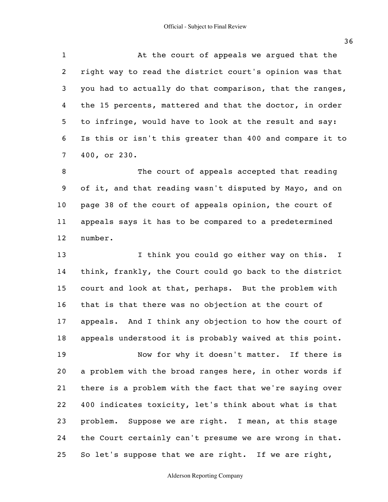1 2 3 4 5 6 7 At the court of appeals we argued that the right way to read the district court's opinion was that you had to actually do that comparison, that the ranges, the 15 percents, mattered and that the doctor, in order to infringe, would have to look at the result and say: Is this or isn't this greater than 400 and compare it to 400, or 230.

8 9 10 11 12 The court of appeals accepted that reading of it, and that reading wasn't disputed by Mayo, and on page 38 of the court of appeals opinion, the court of appeals says it has to be compared to a predetermined number.

13 14 15 16 17 18 19 20 21 22 23 24 25 I think you could go either way on this. I think, frankly, the Court could go back to the district court and look at that, perhaps. But the problem with that is that there was no objection at the court of appeals. And I think any objection to how the court of appeals understood it is probably waived at this point. Now for why it doesn't matter. If there is a problem with the broad ranges here, in other words if there is a problem with the fact that we're saying over 400 indicates toxicity, let's think about what is that problem. Suppose we are right. I mean, at this stage the Court certainly can't presume we are wrong in that. So let's suppose that we are right. If we are right,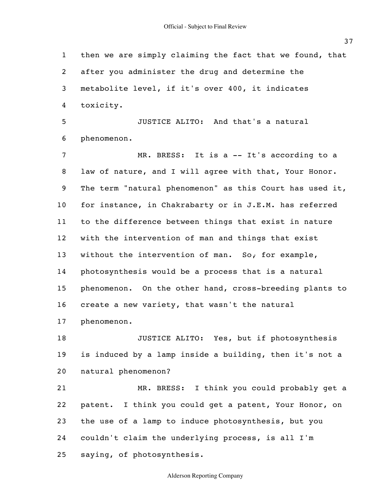Official - Subject to Final Review

1 2 3 4 5 6 7 8 9 10 11 12 13 14 15 16 17 18 19 20 21 22 23 24 25 then we are simply claiming the fact that we found, that after you administer the drug and determine the metabolite level, if it's over 400, it indicates toxicity. JUSTICE ALITO: And that's a natural phenomenon. MR. BRESS: It is a -- It's according to a law of nature, and I will agree with that, Your Honor. The term "natural phenomenon" as this Court has used it, for instance, in Chakrabarty or in J.E.M. has referred to the difference between things that exist in nature with the intervention of man and things that exist without the intervention of man. So, for example, photosynthesis would be a process that is a natural phenomenon. On the other hand, cross-breeding plants to create a new variety, that wasn't the natural phenomenon. JUSTICE ALITO: Yes, but if photosynthesis is induced by a lamp inside a building, then it's not a natural phenomenon? MR. BRESS: I think you could probably get a patent. I think you could get a patent, Your Honor, on the use of a lamp to induce photosynthesis, but you couldn't claim the underlying process, is all I'm saying, of photosynthesis.

Alderson Reporting Company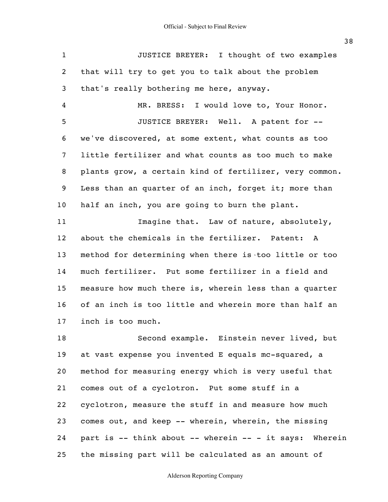1 2 3 4 5 6 7 8 9 10 11 12 13 14 15 16 17 18 19 20 21 22 23 24 JUSTICE BREYER: I thought of two examples that will try to get you to talk about the problem that's really bothering me here, anyway. MR. BRESS: I would love to, Your Honor. JUSTICE BREYER: Well. A patent for - we've discovered, at some extent, what counts as too little fertilizer and what counts as too much to make plants grow, a certain kind of fertilizer, very common. Less than an quarter of an inch, forget it; more than half an inch, you are going to burn the plant. Imagine that. Law of nature, absolutely, about the chemicals in the fertilizer. Patent: A method for determining when there is too little or too much fertilizer. Put some fertilizer in a field and measure how much there is, wherein less than a quarter of an inch is too little and wherein more than half an inch is too much. Second example. Einstein never lived, but at vast expense you invented E equals mc-squared, a method for measuring energy which is very useful that comes out of a cyclotron. Put some stuff in a cyclotron, measure the stuff in and measure how much comes out, and keep -- wherein, wherein, the missing part is -- think about -- wherein -- - it says: Wherein

Alderson Reporting Company

the missing part will be calculated as an amount of

25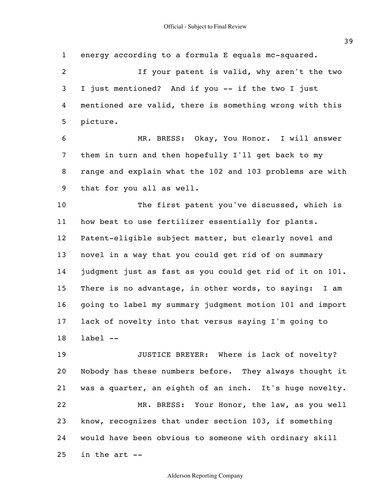1 2 3 4 5 6 7 8 9 10 11 12 13 14 15 16 17 18 19 20 21 22 23 energy according to a formula E equals mc-squared. If your patent is valid, why aren't the two I just mentioned? And if you -- if the two I just mentioned are valid, there is something wrong with this picture. MR. BRESS: Okay, You Honor. I will answer them in turn and then hopefully I'll get back to my range and explain what the 102 and 103 problems are with that for you all as well. The first patent you've discussed, which is how best to use fertilizer essentially for plants. Patent-eligible subject matter, but clearly novel and novel in a way that you could get rid of on summary judgment just as fast as you could get rid of it on 101. There is no advantage, in other words, to saying: I am going to label my summary judgment motion 101 and import lack of novelty into that versus saying I'm going to label -- JUSTICE BREYER: Where is lack of novelty? Nobody has these numbers before. They always thought it was a quarter, an eighth of an inch. It's huge novelty. MR. BRESS: Your Honor, the law, as you well know, recognizes that under section 103, if something

24 would have been obvious to someone with ordinary skill

25 in the art --

## Alderson Reporting Company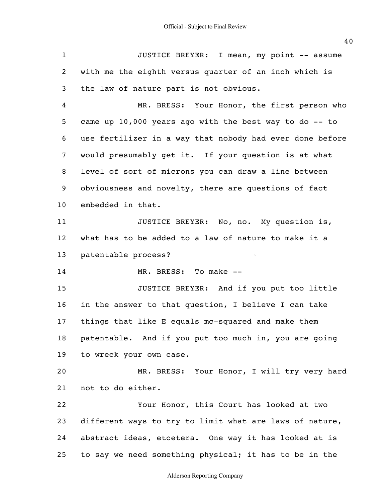1 2 3 4 5 6 7 8 9 10 11 12 13 14 15 16 17 18 19 20 21 22 23 24 25 JUSTICE BREYER: I mean, my point -- assume with me the eighth versus quarter of an inch which is the law of nature part is not obvious. MR. BRESS: Your Honor, the first person who came up 10,000 years ago with the best way to do -- to use fertilizer in a way that nobody had ever done before would presumably get it. If your question is at what level of sort of microns you can draw a line between obviousness and novelty, there are questions of fact embedded in that. JUSTICE BREYER: No, no. My question is, what has to be added to a law of nature to make it a patentable process? MR. BRESS: To make -- JUSTICE BREYER: And if you put too little in the answer to that question, I believe I can take things that like E equals mc-squared and make them patentable. And if you put too much in, you are going to wreck your own case. MR. BRESS: Your Honor, I will try very hard not to do either. Your Honor, this Court has looked at two different ways to try to limit what are laws of nature, abstract ideas, etcetera. One way it has looked at is to say we need something physical; it has to be in the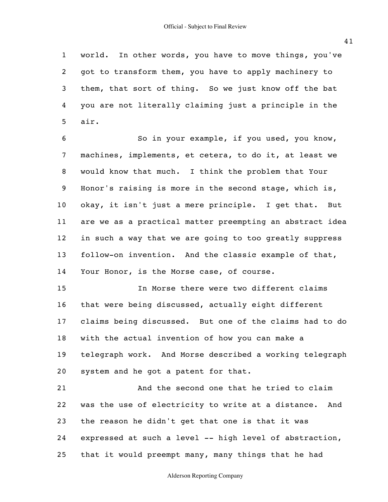1 2 3 4 5 world. In other words, you have to move things, you've got to transform them, you have to apply machinery to them, that sort of thing. So we just know off the bat you are not literally claiming just a principle in the air.

6 7 8 9 10 11 12 13 14 So in your example, if you used, you know, machines, implements, et cetera, to do it, at least we would know that much. I think the problem that Your Honor's raising is more in the second stage, which is, okay, it isn't just a mere principle. I get that. But are we as a practical matter preempting an abstract idea in such a way that we are going to too greatly suppress follow-on invention. And the classic example of that, Your Honor, is the Morse case, of course.

15 16 17 18 19 20 In Morse there were two different claims that were being discussed, actually eight different claims being discussed. But one of the claims had to do with the actual invention of how you can make a telegraph work. And Morse described a working telegraph system and he got a patent for that.

21 22 23 24 25 And the second one that he tried to claim was the use of electricity to write at a distance. And the reason he didn't get that one is that it was expressed at such a level -- high level of abstraction, that it would preempt many, many things that he had

Alderson Reporting Company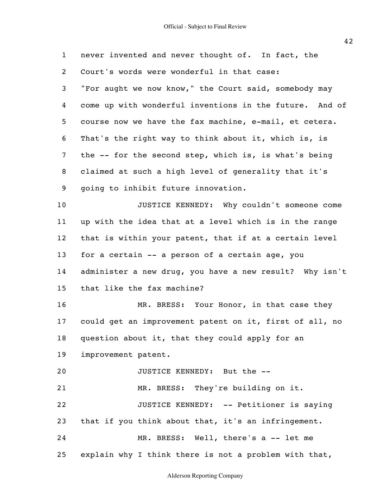| $\mathbf{1}$   | never invented and never thought of. In fact, the       |
|----------------|---------------------------------------------------------|
| 2              | Court's words were wonderful in that case:              |
| 3              | "For aught we now know," the Court said, somebody may   |
| 4              | come up with wonderful inventions in the future. And of |
| 5              | course now we have the fax machine, e-mail, et cetera.  |
| 6              | That's the right way to think about it, which is, is    |
| $\overline{7}$ | the -- for the second step, which is, is what's being   |
| 8              | claimed at such a high level of generality that it's    |
| 9              | going to inhibit future innovation.                     |
| 10             | JUSTICE KENNEDY: Why couldn't someone come              |
| 11             | up with the idea that at a level which is in the range  |
| 12             | that is within your patent, that if at a certain level  |
| 13             | for a certain -- a person of a certain age, you         |
| 14             | administer a new drug, you have a new result? Why isn't |
| 15             | that like the fax machine?                              |
| 16             | MR. BRESS: Your Honor, in that case they                |
| 17             | could get an improvement patent on it, first of all, no |
| 18             | question about it, that they could apply for an         |
| 19             | improvement patent.                                     |
| 20             | JUSTICE KENNEDY: But the --                             |
| 21             | MR. BRESS: They're building on it.                      |
| 22             | JUSTICE KENNEDY: -- Petitioner is saying                |
| 23             | that if you think about that, it's an infringement.     |
| 24             | MR. BRESS: Well, there's a -- let me                    |
| 25             | explain why I think there is not a problem with that,   |

Alderson Reporting Company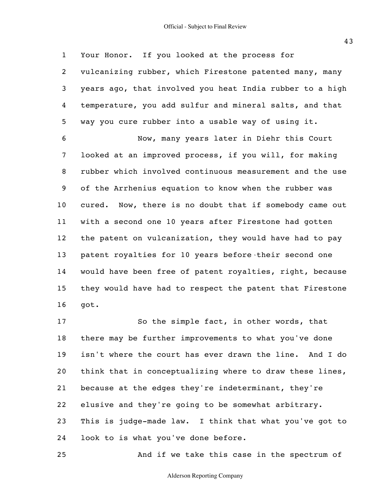1 2 3 4 5 6 7 8 9 10 11 12 13 14 15 16 Your Honor. If you looked at the process for vulcanizing rubber, which Firestone patented many, many years ago, that involved you heat India rubber to a high temperature, you add sulfur and mineral salts, and that way you cure rubber into a usable way of using it. Now, many years later in Diehr this Court looked at an improved process, if you will, for making rubber which involved continuous measurement and the use of the Arrhenius equation to know when the rubber was cured. Now, there is no doubt that if somebody came out with a second one 10 years after Firestone had gotten the patent on vulcanization, they would have had to pay patent royalties for 10 years before their second one would have been free of patent royalties, right, because they would have had to respect the patent that Firestone got.

17 18 19 20 21 22 23 24 So the simple fact, in other words, that there may be further improvements to what you've done isn't where the court has ever drawn the line. And I do think that in conceptualizing where to draw these lines, because at the edges they're indeterminant, they're elusive and they're going to be somewhat arbitrary. This is judge-made law. I think that what you've got to look to is what you've done before.

And if we take this case in the spectrum of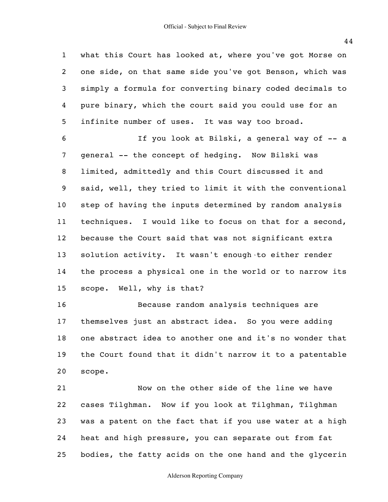1 2 3 4 5 6 7 8 9 10 11 12 13 14 15 16 what this Court has looked at, where you've got Morse on one side, on that same side you've got Benson, which was simply a formula for converting binary coded decimals to pure binary, which the court said you could use for an infinite number of uses. It was way too broad. If you look at Bilski, a general way of -- a general -- the concept of hedging. Now Bilski was limited, admittedly and this Court discussed it and said, well, they tried to limit it with the conventional step of having the inputs determined by random analysis techniques. I would like to focus on that for a second, because the Court said that was not significant extra solution activity. It wasn't enough to either render the process a physical one in the world or to narrow its scope. Well, why is that? Because random analysis techniques are

17 18 19 20 themselves just an abstract idea. So you were adding one abstract idea to another one and it's no wonder that the Court found that it didn't narrow it to a patentable scope.

21 22 23 24 25 Now on the other side of the line we have cases Tilghman. Now if you look at Tilghman, Tilghman was a patent on the fact that if you use water at a high heat and high pressure, you can separate out from fat bodies, the fatty acids on the one hand and the glycerin

Alderson Reporting Company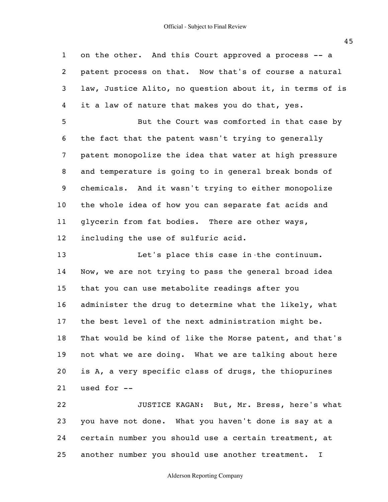1 2 3 4 5 6 7 8 9 10 11 12 13 14 15 16 17 18 19 20 21 22 on the other. And this Court approved a process -- a patent process on that. Now that's of course a natural law, Justice Alito, no question about it, in terms of is it a law of nature that makes you do that, yes. But the Court was comforted in that case by the fact that the patent wasn't trying to generally patent monopolize the idea that water at high pressure and temperature is going to in general break bonds of chemicals. And it wasn't trying to either monopolize the whole idea of how you can separate fat acids and glycerin from fat bodies. There are other ways, including the use of sulfuric acid. Let's place this case in the continuum. Now, we are not trying to pass the general broad idea that you can use metabolite readings after you administer the drug to determine what the likely, what the best level of the next administration might be. That would be kind of like the Morse patent, and that's not what we are doing. What we are talking about here is A, a very specific class of drugs, the thiopurines used for -- JUSTICE KAGAN: But, Mr. Bress, here's what

23 24 25 you have not done. What you haven't done is say at a certain number you should use a certain treatment, at another number you should use another treatment. I

Alderson Reporting Company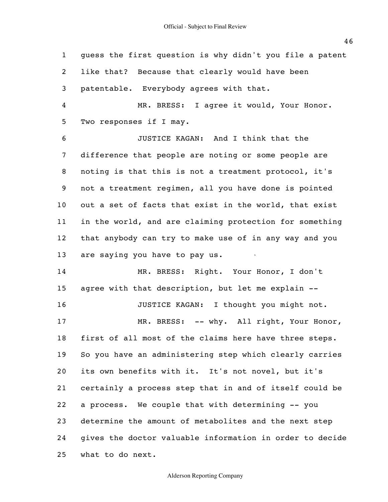1 2 3 4 5 6 7 8 9 10 11 12 13 14 15 16 17 18 19 20 21 22 23 24 25 guess the first question is why didn't you file a patent like that? Because that clearly would have been patentable. Everybody agrees with that. MR. BRESS: I agree it would, Your Honor. Two responses if I may. JUSTICE KAGAN: And I think that the difference that people are noting or some people are noting is that this is not a treatment protocol, it's not a treatment regimen, all you have done is pointed out a set of facts that exist in the world, that exist in the world, and are claiming protection for something that anybody can try to make use of in any way and you are saying you have to pay us. MR. BRESS: Right. Your Honor, I don't agree with that description, but let me explain -- JUSTICE KAGAN: I thought you might not. MR. BRESS: -- why. All right, Your Honor, first of all most of the claims here have three steps. So you have an administering step which clearly carries its own benefits with it. It's not novel, but it's certainly a process step that in and of itself could be a process. We couple that with determining -- you determine the amount of metabolites and the next step gives the doctor valuable information in order to decide what to do next.

## Alderson Reporting Company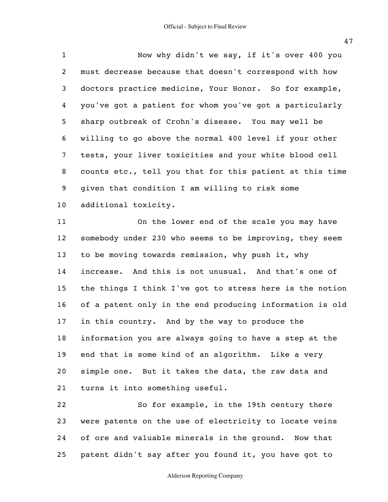1 2 3 4 5 6 7 8 9 10 Now why didn't we say, if it's over 400 you must decrease because that doesn't correspond with how doctors practice medicine, Your Honor. So for example, you've got a patient for whom you've got a particularly sharp outbreak of Crohn's disease. You may well be willing to go above the normal 400 level if your other tests, your liver toxicities and your white blood cell counts etc., tell you that for this patient at this time given that condition I am willing to risk some additional toxicity.

11 12 13 14 15 16 17 18 19 20 21 On the lower end of the scale you may have somebody under 230 who seems to be improving, they seem to be moving towards remission, why push it, why increase. And this is not unusual. And that's one of the things I think I've got to stress here is the notion of a patent only in the end producing information is old in this country. And by the way to produce the information you are always going to have a step at the end that is some kind of an algorithm. Like a very simple one. But it takes the data, the raw data and turns it into something useful.

22 23 24 25 So for example, in the 19th century there were patents on the use of electricity to locate veins of ore and valuable minerals in the ground. Now that patent didn't say after you found it, you have got to

Alderson Reporting Company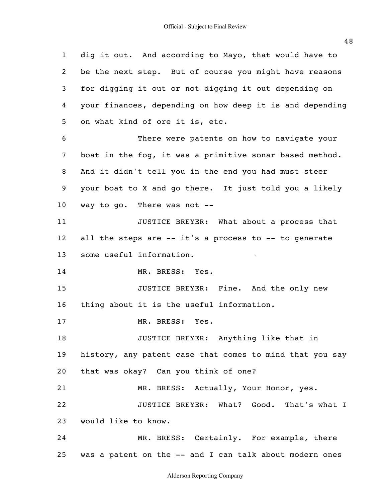1 2 3 4 5 6 7 8 9 10 11 12 13 14 15 16 17 18 19 20 21 22 23 24 25 dig it out. And according to Mayo, that would have to be the next step. But of course you might have reasons for digging it out or not digging it out depending on your finances, depending on how deep it is and depending on what kind of ore it is, etc. There were patents on how to navigate your boat in the fog, it was a primitive sonar based method. And it didn't tell you in the end you had must steer your boat to X and go there. It just told you a likely way to go. There was not -- JUSTICE BREYER: What about a process that all the steps are -- it's a process to -- to generate some useful information. MR. BRESS: Yes. JUSTICE BREYER: Fine. And the only new thing about it is the useful information. MR. BRESS: Yes. JUSTICE BREYER: Anything like that in history, any patent case that comes to mind that you say that was okay? Can you think of one? MR. BRESS: Actually, Your Honor, yes. JUSTICE BREYER: What? Good. That's what I would like to know. MR. BRESS: Certainly. For example, there was a patent on the -- and I can talk about modern ones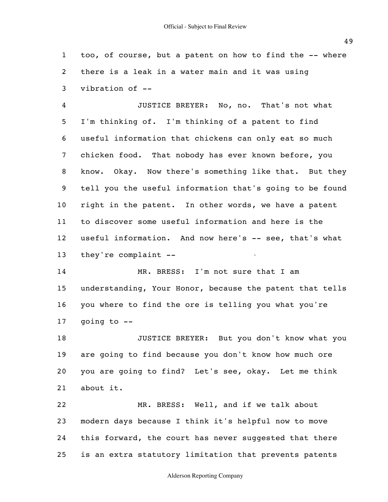1 2 3 too, of course, but a patent on how to find the -- where there is a leak in a water main and it was using vibration of --

4 5 6 7 8 9 10 11 12 13 JUSTICE BREYER: No, no. That's not what I'm thinking of. I'm thinking of a patent to find useful information that chickens can only eat so much chicken food. That nobody has ever known before, you know. Okay. Now there's something like that. But they tell you the useful information that's going to be found right in the patent. In other words, we have a patent to discover some useful information and here is the useful information. And now here's -- see, that's what they're complaint --

14 15 16 17 MR. BRESS: I'm not sure that I am understanding, Your Honor, because the patent that tells you where to find the ore is telling you what you're going to --

18 19 20 21 JUSTICE BREYER: But you don't know what you are going to find because you don't know how much ore you are going to find? Let's see, okay. Let me think about it.

22 23 24 25 MR. BRESS: Well, and if we talk about modern days because I think it's helpful now to move this forward, the court has never suggested that there is an extra statutory limitation that prevents patents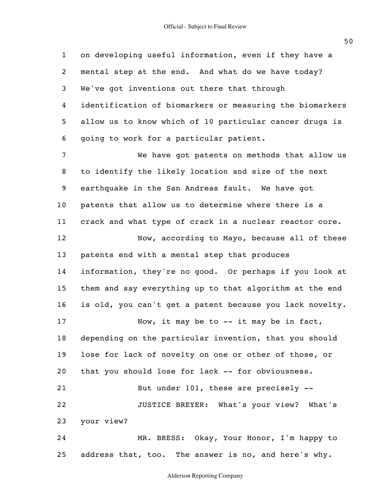1 2 3 4 5 6 7 8 9 10 11 12 13 14 15 16 17 18 19 20 21 22 23 24 25 on developing useful information, even if they have a mental step at the end. And what do we have today? We've got inventions out there that through identification of biomarkers or measuring the biomarkers allow us to know which of 10 particular cancer drugs is going to work for a particular patient. We have got patents on methods that allow us to identify the likely location and size of the next earthquake in the San Andreas fault. We have got patents that allow us to determine where there is a crack and what type of crack in a nuclear reactor core. Now, according to Mayo, because all of these patents end with a mental step that produces information, they're no good. Or perhaps if you look at them and say everything up to that algorithm at the end is old, you can't get a patent because you lack novelty. Now, it may be to -- it may be in fact, depending on the particular invention, that you should lose for lack of novelty on one or other of those, or that you should lose for lack -- for obviousness. But under 101, these are precisely -- JUSTICE BREYER: What's your view? What's your view? MR. BRESS: Okay, Your Honor, I'm happy to address that, too. The answer is no, and here's why.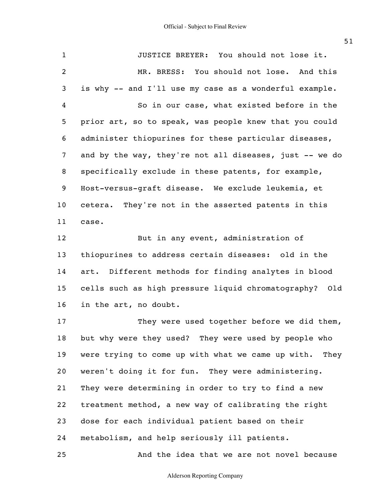1 2 3 4 5 6 7 8 9 10 11 12 13 14 15 16 17 18 19 JUSTICE BREYER: You should not lose it. MR. BRESS: You should not lose. And this is why -- and I'll use my case as a wonderful example. So in our case, what existed before in the prior art, so to speak, was people knew that you could administer thiopurines for these particular diseases, and by the way, they're not all diseases, just -- we do specifically exclude in these patents, for example, Host-versus-graft disease. We exclude leukemia, et cetera. They're not in the asserted patents in this case. But in any event, administration of thiopurines to address certain diseases: old in the art. Different methods for finding analytes in blood cells such as high pressure liquid chromatography? Old in the art, no doubt. They were used together before we did them, but why were they used? They were used by people who were trying to come up with what we came up with. They

20 21 22 23 24 weren't doing it for fun. They were administering. They were determining in order to try to find a new treatment method, a new way of calibrating the right dose for each individual patient based on their metabolism, and help seriously ill patients.

25

And the idea that we are not novel because

Alderson Reporting Company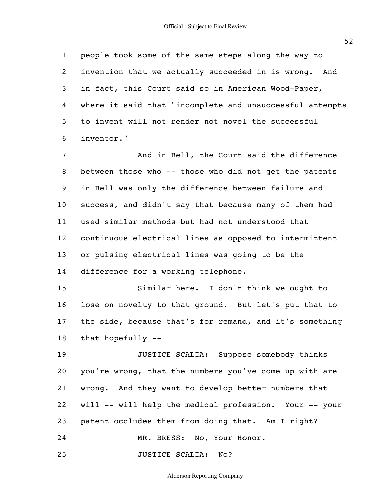1 2 3 4 5 6 people took some of the same steps along the way to invention that we actually succeeded in is wrong. And in fact, this Court said so in American Wood-Paper, where it said that "incomplete and unsuccessful attempts to invent will not render not novel the successful inventor."

7 8 9 10 11 12 13 14 And in Bell, the Court said the difference between those who -- those who did not get the patents in Bell was only the difference between failure and success, and didn't say that because many of them had used similar methods but had not understood that continuous electrical lines as opposed to intermittent or pulsing electrical lines was going to be the difference for a working telephone.

15 16 17 18 Similar here. I don't think we ought to lose on novelty to that ground. But let's put that to the side, because that's for remand, and it's something that hopefully --

19 20 21 22 23 24 JUSTICE SCALIA: Suppose somebody thinks you're wrong, that the numbers you've come up with are wrong. And they want to develop better numbers that will -- will help the medical profession. Your -- your patent occludes them from doing that. Am I right? MR. BRESS: No, Your Honor.

25 JUSTICE SCALIA: No?

Alderson Reporting Company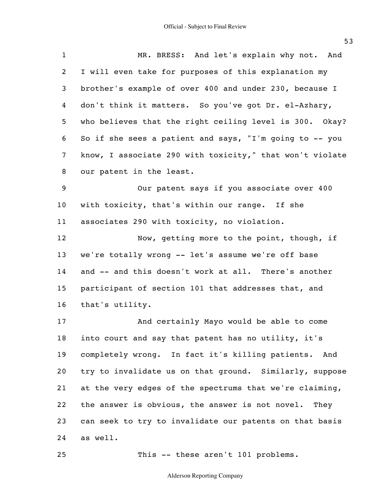| $\mathbf{1}$     | MR. BRESS: And let's explain why not. And                |
|------------------|----------------------------------------------------------|
| 2                | I will even take for purposes of this explanation my     |
| 3                | brother's example of over 400 and under 230, because I   |
| 4                | don't think it matters. So you've got Dr. el-Azhary,     |
| 5                | who believes that the right ceiling level is 300. Okay?  |
| 6                | So if she sees a patient and says, "I'm going to -- you  |
| $\overline{7}$   | know, I associate 290 with toxicity," that won't violate |
| 8                | our patent in the least.                                 |
| $\boldsymbol{9}$ | Our patent says if you associate over 400                |
| $10\,$           | with toxicity, that's within our range. If she           |
| 11               | associates 290 with toxicity, no violation.              |
| 12               | Now, getting more to the point, though, if               |
| 13               | we're totally wrong -- let's assume we're off base       |
| 14               | and -- and this doesn't work at all. There's another     |
| 15               | participant of section 101 that addresses that, and      |
| 16               | that's utility.                                          |
| 17               | And certainly Mayo would be able to come                 |
| 18               | into court and say that patent has no utility, it's      |
| 19               | completely wrong. In fact it's killing patients.<br>And  |
| 20               | try to invalidate us on that ground. Similarly, suppose  |
| 21               | at the very edges of the spectrums that we're claiming,  |
| 22               | the answer is obvious, the answer is not novel.<br>They  |
| 23               | can seek to try to invalidate our patents on that basis  |
| 24               | as well.                                                 |

This -- these aren't 101 problems.

Alderson Reporting Company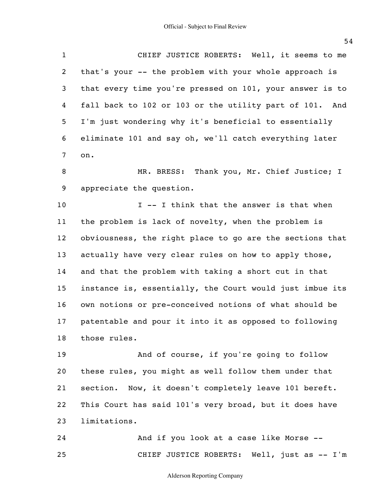1 2 3 4 5 6 7 CHIEF JUSTICE ROBERTS: Well, it seems to me that's your -- the problem with your whole approach is that every time you're pressed on 101, your answer is to fall back to 102 or 103 or the utility part of 101. And I'm just wondering why it's beneficial to essentially eliminate 101 and say oh, we'll catch everything later on.

8 9 MR. BRESS: Thank you, Mr. Chief Justice; I appreciate the question.

10 11 12 13 14 15 16 17 18 I -- I think that the answer is that when the problem is lack of novelty, when the problem is obviousness, the right place to go are the sections that actually have very clear rules on how to apply those, and that the problem with taking a short cut in that instance is, essentially, the Court would just imbue its own notions or pre-conceived notions of what should be patentable and pour it into it as opposed to following those rules.

19 20 21 22 23 And of course, if you're going to follow these rules, you might as well follow them under that section. Now, it doesn't completely leave 101 bereft. This Court has said 101's very broad, but it does have limitations.

24 25 And if you look at a case like Morse -- CHIEF JUSTICE ROBERTS: Well, just as -- I'm

Alderson Reporting Company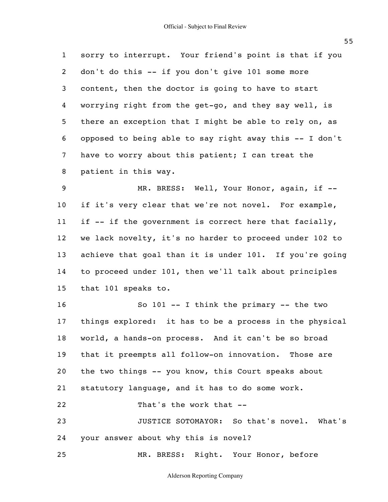1 2 3 4 5 6 7 8 sorry to interrupt. Your friend's point is that if you don't do this -- if you don't give 101 some more content, then the doctor is going to have to start worrying right from the get-go, and they say well, is there an exception that I might be able to rely on, as opposed to being able to say right away this  $- - I$  don't have to worry about this patient; I can treat the patient in this way.

9 10 11 12 13 14 15 MR. BRESS: Well, Your Honor, again, if -if it's very clear that we're not novel. For example, if -- if the government is correct here that facially, we lack novelty, it's no harder to proceed under 102 to achieve that goal than it is under 101. If you're going to proceed under 101, then we'll talk about principles that 101 speaks to.

16 17 18 19 20 21 22 23 So  $101$  -- I think the primary -- the two things explored: it has to be a process in the physical world, a hands-on process. And it can't be so broad that it preempts all follow-on innovation. Those are the two things -- you know, this Court speaks about statutory language, and it has to do some work. That's the work that -- JUSTICE SOTOMAYOR: So that's novel. What's

24 your answer about why this is novel?

25 MR. BRESS: Right. Your Honor, before

Alderson Reporting Company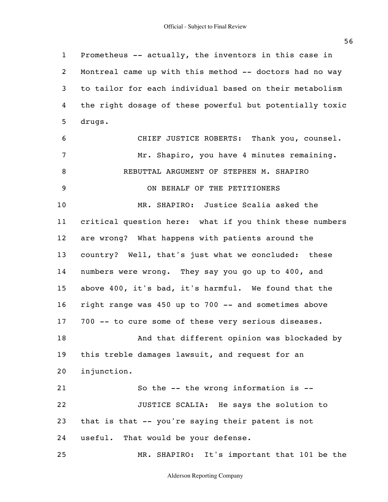1 2 3 4 5 6 7 8 9 10 11 12 13 14 15 16 17 18 19 20 21 22 23 24 25 Prometheus -- actually, the inventors in this case in Montreal came up with this method -- doctors had no way to tailor for each individual based on their metabolism the right dosage of these powerful but potentially toxic drugs. CHIEF JUSTICE ROBERTS: Thank you, counsel. Mr. Shapiro, you have 4 minutes remaining. REBUTTAL ARGUMENT OF STEPHEN M. SHAPIRO ON BEHALF OF THE PETITIONERS MR. SHAPIRO: Justice Scalia asked the critical question here: what if you think these numbers are wrong? What happens with patients around the country? Well, that's just what we concluded: these numbers were wrong. They say you go up to 400, and above 400, it's bad, it's harmful. We found that the right range was 450 up to 700 -- and sometimes above 700 -- to cure some of these very serious diseases. And that different opinion was blockaded by this treble damages lawsuit, and request for an injunction. So the -- the wrong information is -- JUSTICE SCALIA: He says the solution to that is that -- you're saying their patent is not useful. That would be your defense. MR. SHAPIRO: It's important that 101 be the

Alderson Reporting Company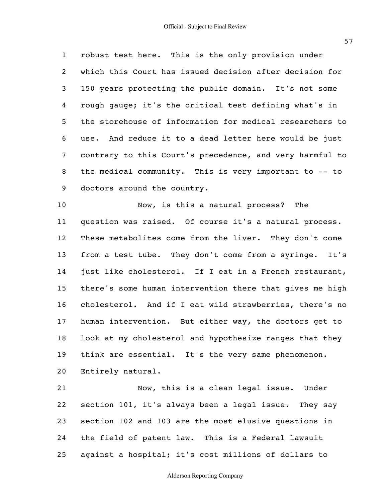1 2 3 4 5 6 7 8 9 robust test here. This is the only provision under which this Court has issued decision after decision for 150 years protecting the public domain. It's not some rough gauge; it's the critical test defining what's in the storehouse of information for medical researchers to use. And reduce it to a dead letter here would be just contrary to this Court's precedence, and very harmful to the medical community. This is very important to -- to doctors around the country.

10 11 12 13 14 15 16 17 18 19 20 Now, is this a natural process? The question was raised. Of course it's a natural process. These metabolites come from the liver. They don't come from a test tube. They don't come from a syringe. It's just like cholesterol. If I eat in a French restaurant, there's some human intervention there that gives me high cholesterol. And if I eat wild strawberries, there's no human intervention. But either way, the doctors get to look at my cholesterol and hypothesize ranges that they think are essential. It's the very same phenomenon. Entirely natural.

21 22 23 24 25 Now, this is a clean legal issue. Under section 101, it's always been a legal issue. They say section 102 and 103 are the most elusive questions in the field of patent law. This is a Federal lawsuit against a hospital; it's cost millions of dollars to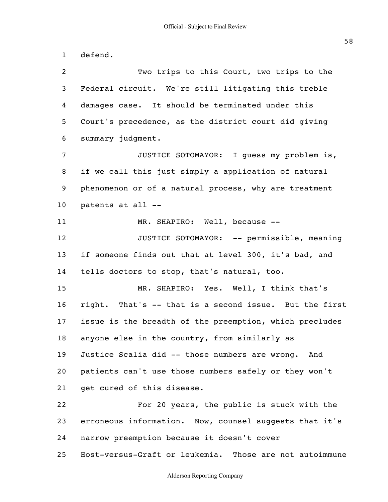1 2 3 4 5 6 7 8 9 10 11 12 13 14 15 16 17 18 19 20 21 22 23 24 25 defend. Two trips to this Court, two trips to the Federal circuit. We're still litigating this treble damages case. It should be terminated under this Court's precedence, as the district court did giving summary judgment. JUSTICE SOTOMAYOR: I guess my problem is, if we call this just simply a application of natural phenomenon or of a natural process, why are treatment patents at all -- MR. SHAPIRO: Well, because -- JUSTICE SOTOMAYOR: -- permissible, meaning if someone finds out that at level 300, it's bad, and tells doctors to stop, that's natural, too. MR. SHAPIRO: Yes. Well, I think that's right. That's -- that is a second issue. But the first issue is the breadth of the preemption, which precludes anyone else in the country, from similarly as Justice Scalia did -- those numbers are wrong. And patients can't use those numbers safely or they won't get cured of this disease. For 20 years, the public is stuck with the erroneous information. Now, counsel suggests that it's narrow preemption because it doesn't cover Host-versus-Graft or leukemia. Those are not autoimmune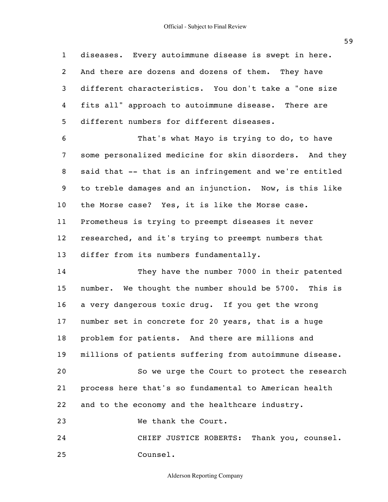1 2 3 4 5 6 7 8 9 10 11 12 13 14 15 diseases. Every autoimmune disease is swept in here. And there are dozens and dozens of them. They have different characteristics. You don't take a "one size fits all" approach to autoimmune disease. There are different numbers for different diseases. That's what Mayo is trying to do, to have some personalized medicine for skin disorders. And they said that -- that is an infringement and we're entitled to treble damages and an injunction. Now, is this like the Morse case? Yes, it is like the Morse case. Prometheus is trying to preempt diseases it never researched, and it's trying to preempt numbers that differ from its numbers fundamentally. They have the number 7000 in their patented number. We thought the number should be 5700. This is

17 number set in concrete for 20 years, that is a huge

a very dangerous toxic drug. If you get the wrong

18 problem for patients. And there are millions and

19 millions of patients suffering from autoimmune disease.

20 21 22 So we urge the Court to protect the research process here that's so fundamental to American health and to the economy and the healthcare industry.

23 We thank the Court.

16

24 25 CHIEF JUSTICE ROBERTS: Thank you, counsel. Counsel.

Alderson Reporting Company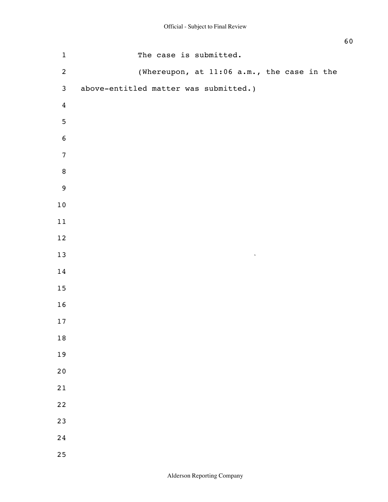| $\mathbf 1$      | The case is submitted.                     |
|------------------|--------------------------------------------|
| $\overline{c}$   | (Whereupon, at 11:06 a.m., the case in the |
| $\mathfrak{Z}$   | above-entitled matter was submitted.)      |
| $\overline{4}$   |                                            |
| $\overline{5}$   |                                            |
| $\bf 6$          |                                            |
| $\boldsymbol{7}$ |                                            |
| $\, 8$           |                                            |
| $9$              |                                            |
| $1\,0$           |                                            |
| 11               |                                            |
| $12\,$           |                                            |
| $13\,$           | $\hat{\mathbf{v}}$                         |
| $1\,4$           |                                            |
| 15               |                                            |
| $16\,$           |                                            |
| $17\,$           |                                            |
| 18               |                                            |
| 19               |                                            |
| 20               |                                            |
| 21               |                                            |
| 22               |                                            |
| 23               |                                            |
| 24               |                                            |
| 25               |                                            |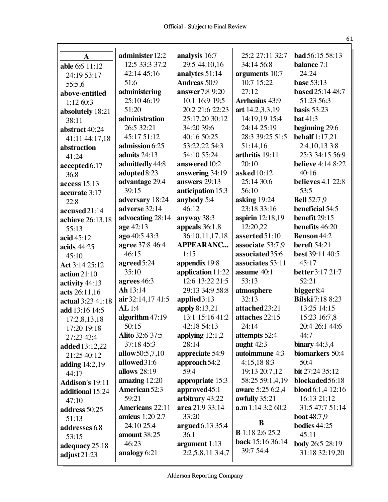| $\mathbf{A}$           | administer 12:2        | analysis 16:7       | 25:2 27:11 32:7        | <b>bad</b> 56:15 58:13     |
|------------------------|------------------------|---------------------|------------------------|----------------------------|
| able 6:6 11:12         | 12:5 33:3 37:2         | 29:5 44:10,16       | 34:14 56:8             | <b>balance</b> 7:1         |
| 24:19 53:17            | 42:14 45:16            | analytes 51:14      | arguments 10:7         | 24:24                      |
| 55:5.6                 | 51:6                   | <b>Andreas</b> 50:9 | 10:7 15:22             | <b>base</b> 53:13          |
| above-entitled         | administering          | answer7:8 9:20      | 27:12                  | based 25:14 48:7           |
| 1:1260:3               | 25:10 46:19            | 10:1 16:9 19:5      | <b>Arrhenius</b> 43:9  | 51:23 56:3                 |
| absolutely 18:21       | 51:20                  | 20:2 21:6 22:23     | art 14:2,3,3,19        | basis $53:23$              |
| 38:11                  | administration         | 25:17,20 30:12      | 14:19,19 15:4          | bat 41:3                   |
| abstract 40:24         | 26:5 32:21             | 34:20 39:6          | 24:14 25:19            | beginning 29:6             |
| 41:11 44:17,18         | 45:17 51:12            | 40:16 50:25         | 28:3 39:25 51:5        | <b>behalf</b> 1:17,21      |
| abstraction            | admission 6:25         | 53:22,22 54:3       | 51:14,16               | 2:4, 10, 13 3:8            |
| 41:24                  | admits 24:13           | 54:10 55:24         | arthritis 19:11        | 25:3 34:15 56:9            |
| accepted6:17           | admittedly 44:8        | answered 10:2       | 20:10                  | <b>believe</b> 4:14 8:22   |
| 36:8                   | adopted8:23            | answering 34:19     | asked 10:12            | 40:16                      |
| access $15:13$         | advantage 29:4         | answers 29:13       | 25:14 30:6             | <b>believes</b> 4:1 22:8   |
| accurate 3:17          | 39:15                  | anticipation 15:3   | 56:10                  | 53:5                       |
| 22:8                   | adversary 18:24        | anybody 5:4         | asking 19:24           | <b>Bell</b> 52:7,9         |
| accused21:14           | adverse 32:14          | 46:12               | 23:18 33:16            | beneficial 54:5            |
| achieve 26:13,18       | advocating 28:14       | anyway 38:3         | aspirin 12:18,19       | benefit 29:15              |
| 55:13                  | age 42:13              | appeals $36:1,8$    | 12:20,22               | benefits 46:20             |
| acid 45:12             | ago 40:5 43:3          | 36:10,11,17,18      | asserted 51:10         | <b>Benson 44:2</b>         |
| acids $44:25$          | agree 37:8 46:4        | <b>APPEARANC</b>    | associate 53:7,9       | <b>bereft</b> 54:21        |
| 45:10                  | 46:15                  | 1:15                | associated 35:6        | best 39:11 40:5            |
| Act 3:14 25:12         | agreed5:24             | appendix 19:8       | associates 53:11       | 45:17                      |
| $\arctan 21:10$        | 35:10                  | application 11:22   | assume 40:1            | better 3:17 21:7           |
| activity 44:13         | agrees 46:3            | 12:6 13:22 21:5     | 53:13                  | 52:21                      |
| acts 26:11,16          | Ah 13:14               | 29:13 34:9 58:8     | atmosphere             | bigger $8:4$               |
| actual 3:23 41:18      | air 32:14,17 41:5      | applied $3:13$      | 32:13                  | <b>Bilski</b> 7:18 8:23    |
| add 13:16 14:5         | <b>AL</b> 1:4          | apply 8:13,21       | attached 23:21         | 13:25 14:15                |
| 17:2,8,13,18           | algorithm 47:19        | 13:1 15:16 41:2     | attaches 22:15         | 15:23 16:7,8               |
| 17:20 19:18            | 50:15                  | 42:18 54:13         | 24:14                  | 20:4 26:1 44:6             |
| 27:23 43:4             | Alito 32:6 37:5        | applying $12:1,2$   | attempts 52:4          | 44:7                       |
| added 13:12,22         | 37:18 45:3             | 28:14               | aught $42:3$           | binary $44:3,4$            |
| 21:25 40:12            | allow 50:5,7,10        | appreciate 54:9     | autoimmune 4:3         | biomarkers 50:4            |
| adding 14:2,19         | allowed 31:6           | approach 54:2       | 4:15,188:3             | 50:4                       |
| 44:17                  | allows 28:19           | 59:4                | 19:13 20:7,12          | bit 27:24 35:12            |
| <b>Addison's 19:11</b> | amazing 12:20          | appropriate 15:3    | 58:25 59:1,4,19        | blockaded 56:18            |
| additional 15:24       | <b>American 52:3</b>   | approved 45:1       | aware 5:25 6:2,4       | <b>blood</b> 6:1,4 $12:16$ |
| 47:10                  | 59:21                  | arbitrary 43:22     | awfully 35:21          | 16:13 21:12                |
| address 50:25          | <b>Americans</b> 22:11 | area 21:9 33:14     | a.m 1:14 3:2 60:2      | 31:5 47:7 51:14            |
| 51:13                  | <b>amicus</b> 1:20 2:7 | 33:20               |                        | <b>boat</b> 48:7,9         |
| addresses 6:8          | 24:10 25:4             | $argued6:13\,35:4$  | B                      | <b>bodies</b> 44:25        |
| 53:15                  | amount 38:25           | 36:1                | <b>B</b> 1:18 2:6 25:2 | 45:11                      |
| adequacy 25:18         | 46:23                  | argument 1:13       | back 15:16 36:14       | body 26:5 28:19            |
| adjust $21:23$         | analogy 6:21           | 2:2,5,8,11 3:4,7    | 39:7 54:4              | 31:18 32:19,20             |
|                        |                        |                     |                        |                            |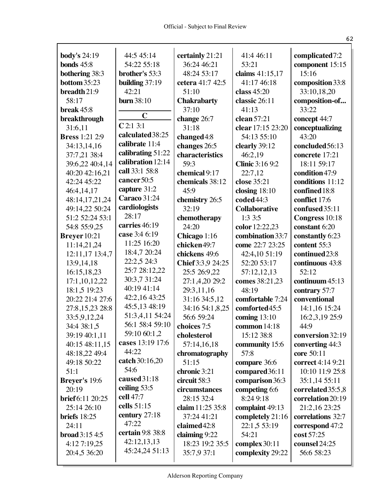| <b>body's</b> 24:19     | 44:5 45:14                      | certainly 21:21                  | 41:4 46:11             | complicated7:2                |
|-------------------------|---------------------------------|----------------------------------|------------------------|-------------------------------|
| bonds $45:8$            | 54:22 55:18                     | 36:24 46:21                      | 53:21                  | component 15:15               |
| <b>bothering 38:3</b>   | brother's 53:3                  | 48:24 53:17                      | claims 41:15,17        | 15:16                         |
| <b>bottom</b> 35:23     | building $37:19$                | cetera 41:7 42:5                 | 41:17 46:18            | composition 33:8              |
| breadth 21:9            | 42:21                           | 51:10                            | class 45:20            | 33:10,18,20                   |
| 58:17                   | <b>burn</b> 38:10               | <b>Chakrabarty</b>               | classic 26:11          | composition-of                |
| break 45:8              |                                 | 37:10                            | 41:13                  | 33:22                         |
| breakthrough            | $\mathbf C$                     | change 26:7                      | clean 57:21            | concept 44:7                  |
| 31:6,11                 | C2:13:1                         | 31:18                            | clear 17:15 23:20      | conceptualizing               |
| <b>Bress</b> 1:21 2:9   | calculated 38:25                | changed4:8                       | 54:13 55:10            | 43:20                         |
| 34:13,14,16             | calibrate 11:4                  | changes 26:5                     | clearly 39:12          | concluded 56:13               |
| 37:7,21 38:4            | calibrating 51:22               | characteristics                  | 46:2,19                | concrete 17:21                |
| 39:6,22 40:4,14         | calibration 12:14               | 59:3                             | <b>Clinic</b> 3:16 9:2 | 18:11 59:17                   |
| 40:20 42:16,21          | call 33:1 58:8                  | chemical 9:17                    | 22:7,12                | condition 47:9                |
| 42:24 45:22             | cancer 50:5                     | chemicals 38:12                  | close 35:21            | conditions 11:12              |
| 46:4,14,17              | capture 31:2                    | 45:9                             | closing $18:10$        | confined 18:8                 |
| 48:14,17,21,24          | <b>Caraco</b> 31:24             | chemistry 26:5                   | coded44:3              | conflict 17:6                 |
| 49:14,22 50:24          | cardiologists                   | 32:19                            | <b>Collaborative</b>   | confused 35:11                |
| 51:2 52:24 53:1         | 28:17                           | chemotherapy                     | 1:3 3:5                | Congress 10:18                |
| 54:8 55:9,25            | carries 46:19                   | 24:20                            | color 12:22,23         | constant 6:20                 |
| Breyer 10:21            | case 3:4 6:19                   | Chicago 1:16                     | combination 33:7       | constantly 6:23               |
| 11:14,21,24             | 11:25 16:20                     | chicken49:7                      | come 22:7 23:25        | content 55:3                  |
| 12:11,17 13:4,7         | 18:4,7 20:24                    | chickens 49:6                    | 42:4,10 51:19          | continued 23:8                |
| 13:9,14,18              | 22:2,5 24:3                     | Chief 3:3,9 24:25                | 52:20 53:17            | continuous 43:8               |
| 16:15,18,23             | 25:7 28:12,22                   | 25:5 26:9,22                     | 57:12,12,13            | 52:12                         |
| 17:1,10,12,22           | 30:3,7 31:24                    | 27:1,4,20 29:2                   | comes 38:21,23         | continuum $45:13$             |
| 18:1,5 19:23            | 40:19 41:14                     | 29:3,11,16                       | 48:19                  | contrary 57:7                 |
| 20:22 21:4 27:6         | 42:2,16 43:25                   | 31:16 34:5,12                    | comfortable 7:24       | conventional                  |
| 27:8, 15, 23 28:8       | 45:5,13 48:19                   | 34:16 54:1,8,25                  | comforted45:5          | 14:1,16 15:24                 |
| 33:5,9,12,24            | 51:3,4,11 54:24                 | 56:6 59:24                       | coming $13:10$         | 16:2,3,19 25:9                |
| 34:4 38:1,5             | 56:1 58:4 59:10<br>59:10 60:1,2 | choices 7:5                      | common 14:18           | 44:9                          |
| 39:19 40:1,11           | cases 13:19 17:6                | cholesterol                      | 15:12 38:8             | conversion 32:19              |
| 40:15 48:11,15          | 44:22                           | 57:14,16,18                      | community 15:6         | converting 44:3               |
| 48:18,22 49:4           | catch 30:16,20                  | chromatography                   | 57:8                   | core 50:11                    |
| 49:18 50:22             | 54:6                            | 51:15                            | compare 36:6           | correct 4:14 9:21             |
| 51:1                    | caused 31:18                    | chronic 3:21                     | compared 36:11         | 10:10 11:9 25:8               |
| Breyer's 19:6           | ceiling 53:5                    | circuit 58:3                     | comparison 36:3        | 35:1,14 55:11                 |
| 20:19                   | cell 47:7                       | circumstances                    | competing 6:6          | correlated 35:5,8             |
| brief 6:11 20:25        | cells 51:15                     | 28:15 32:4                       | 8:24 9:18              | correlation 20:19             |
| 25:14 26:10             | century $27:18$                 | claim 11:25 35:8                 | complaint 49:13        | 21:2,16 23:25                 |
| briefs $18:25$          | 47:22                           | 37:24 41:21<br>claimed 42:8      | completely 21:16       | correlations 32:7             |
| 24:11<br>broad 3:15 4:5 | certain 9:8 38:8                |                                  | 22:1,5 53:19<br>54:21  | correspond 47:2<br>cost 57:25 |
| 4:12 7:19,25            | 42:12,13,13                     | claiming 9:22<br>18:23 19:2 35:5 | complex 30:11          | counsel 24:25                 |
| 20:4,5 36:20            | 45:24,24 51:13                  | 35:7,9 37:1                      | complexity 29:22       | 56:6 58:23                    |
|                         |                                 |                                  |                        |                               |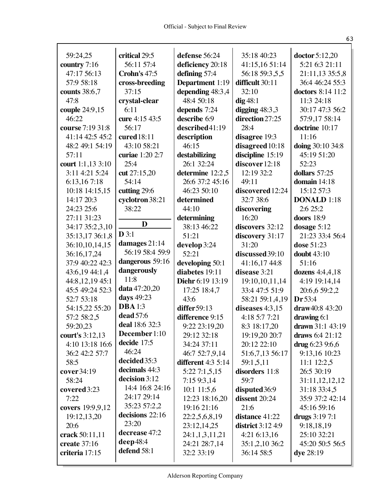$\mathbf{r}$ 

| 59:24,25            | critical 29:5               | defense 56:24                               | 35:18 40:23              | doctor 5:12,20                 |
|---------------------|-----------------------------|---------------------------------------------|--------------------------|--------------------------------|
| country 7:16        | 56:11 57:4                  | deficiency 20:18                            | 41:15,16 51:14           | 5:21 6:3 21:11                 |
| 47:17 56:13         | Crohn's 47:5                | defining 57:4                               | 56:18 59:3,5,5           | 21:11,13 35:5,8                |
| 57:9 58:18          | cross-breeding              | <b>Department</b> 1:19                      | difficult 30:11          | 36:4 46:24 55:3                |
| counts 38:6,7       | 37:15                       | depending 48:3,4                            | 32:10                    | doctors 8:14 11:2              |
| 47:8                | crystal-clear               | 48:4 50:18                                  | $dig$ 48:1               | 11:3 24:18                     |
| couple 24:9,15      | 6:11                        | depends 7:24                                | digging $48:3,3$         | 30:17 47:3 56:2                |
| 46:22               | cure 4:15 43:5              | describe 6:9                                | direction 27:25          | 57:9,17 58:14                  |
| course 7:19 31:8    | 56:17                       | described41:19                              | 28:4                     | doctrine 10:17                 |
| 41:14 42:5 45:2     | cured 18:11                 | description                                 | disagree 19:3            | 11:16                          |
| 48:2 49:1 54:19     | 43:10 58:21                 | 46:15                                       | disagreed 10:18          | doing 30:10 34:8               |
| 57:11               | curiae 1:20 2:7             | destabilizing                               | discipline 15:19         | 45:19 51:20                    |
| court 1:1,13 3:10   | 25:4                        | 26:1 32:24                                  | discover 12:18           | 52:23                          |
| 3:11 4:21 5:24      | cut 27:15,20                | determine 12:2,5                            | 12:19 32:2               | dollars 57:25                  |
| 6:13,167:18         | 54:14                       | 26:6 37:2 45:16                             | 49:11                    | domain $14:18$                 |
| 10:18 14:15,15      | cutting 29:6                | 46:23 50:10                                 | discovered 12:24         | 15:12 57:3                     |
| 14:17 20:3          | cyclotron 38:21             | determined                                  | 32:7 38:6                | <b>DONALD</b> 1:18             |
| 24:23 25:6          | 38:22                       | 44:10                                       | discovering              | 2:6 25:2                       |
| 27:11 31:23         |                             | determining                                 | 16:20                    | doors 18:9                     |
| 34:17 35:2,3,10     | D                           | 38:13 46:22                                 | discovers 32:12          | dosage 5:12                    |
| 35:13,17 36:1,8     | $D$ 3:1                     | 51:21                                       | discovery 31:17          | 21:23 33:4 56:4                |
| 36:10,10,14,15      | damages 21:14               | develop 3:24                                | 31:20                    | dose 51:23                     |
| 36:16,17,24         | 56:19 58:4 59:9             | 52:21                                       | discussed 39:10          | doubt $43:10$                  |
| 37:9 40:22 42:3     | dangerous 59:16             | developing 50:1                             | 41:16,17 44:8            | 51:16                          |
| 43:6,19 44:1,4      | dangerously                 | diabetes 19:11                              | disease 3:21             | dozens $4:4,4,18$              |
| 44:8,12,19 45:1     | 11:8                        | Diehr 6:19 13:19                            | 19:10,10,11,14           | 4:19 19:14,14                  |
| 45:5 49:24 52:3     | data 47:20,20<br>days 49:23 | 17:25 18:4,7                                | 33:4 47:5 51:9           | 20:6,6 59:2,2                  |
| 52:7 53:18          | <b>DBA</b> 1:3              | 43:6                                        | 58:21 59:1,4,19          | Dr 53:4                        |
| 54:15,22 55:20      | dead 57:6                   | differ $59:13$                              | diseases 4:3,15          | $draw40:8$ 43:20               |
| 57:2 58:2,5         | deal 18:6 32:3              | difference 9:15                             | 4:18 5:7 7:21            | drawing 6:1                    |
| 59:20,23            | December 1:10               | 9:22 23:19,20                               | 8:3 18:17,20             | drawn 31:1 43:19               |
| court's 3:12,13     | decide 17:5                 | 29:12 32:18                                 | 19:19,20 20:7            | draws $6:4$ 21:12              |
| 4:10 13:18 16:6     | 46:24                       | 34:24 37:11                                 | 20:12 22:10              | drug $6:239:6,6$               |
| 36:2 42:2 57:7      | decided 35:3                | 46:7 52:7,9,14<br><b>different</b> 4:3 5:14 | 51:6,7,13 56:17          | 9:13,16 10:23                  |
| 58:5<br>cover 34:19 | decimals 44:3               |                                             | 59:1,5,11                | 11:1 12:2,5<br>26:5 30:19      |
| 58:24               | decision 3:12               | 5:227:1,5,15<br>7:159:3,14                  | disorders 11:8<br>59:7   |                                |
| covered 3:23        | 14:4 16:8 24:16             | $10:1$ 11:5,6                               | disputed 36:9            | 31:11,12,12,12<br>31:18 33:4,5 |
| 7:22                | 24:17 29:14                 | 12:23 18:16,20                              | dissent 20:24            | 35:9 37:2 42:14                |
| covers 19:9,9,12    | 35:23 57:2,2                | 19:16 21:16                                 | 21:6                     | 45:16 59:16                    |
| 19:12,13,20         | decisions 22:16             | 22:2,5,6,8,19                               | distance 41:22           | drugs 3:19 7:1                 |
| 20:6                | 23:20                       | 23:12,14,25                                 | <b>district</b> 3:12 4:9 | 9:18,18,19                     |
| crack 50:11,11      | decrease 47:2               | 24:1,1,3,11,21                              | $4:21\,6:13,16$          | 25:10 32:21                    |
| create 37:16        | deep48:4                    | 24:21 28:7,14                               | 35:1,2,10 36:2           | 45:20 50:5 56:5                |
| criteria 17:15      | defend 58:1                 | 32:2 33:19                                  | 36:14 58:5               | dye 28:19                      |
|                     |                             |                                             |                          |                                |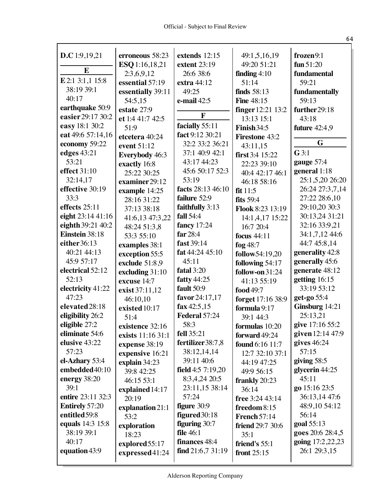|                       |                               | extends 12:15            |                             | frozen9:1              |
|-----------------------|-------------------------------|--------------------------|-----------------------------|------------------------|
| D.C 1:9,19,21         | erroneous 58:23               |                          | 49:1,5,16,19<br>49:20 51:21 |                        |
| E                     | ESQ 1:16,18,21                | extent 23:19             |                             | fun $51:20$            |
| E 2:1 3:1,1 15:8      | 2:3,6,9,12<br>essential 57:19 | 26:6 38:6<br>extra 44:12 | finding $4:10$<br>51:14     | fundamental<br>59:21   |
| 38:19 39:1            |                               | 49:25                    | finds $58:13$               |                        |
| 40:17                 | essentially 39:11             | e-mail 42:5              | <b>Fine 48:15</b>           | fundamentally<br>59:13 |
| earthquake 50:9       | 54:5,15<br>estate 27:9        |                          |                             |                        |
| easier 29:17 30:2     |                               | $\mathbf{F}$             | <b>finger</b> 12:21 13:2    | further 29:18          |
| easy 18:1 30:2        | et 1:4 41:7 42:5              | facially 55:11           | 13:13 15:1                  | 43:18                  |
| eat 49:6 57:14,16     | 51:9                          | fact 9:12 30:21          | Finish 34:5                 | <b>future</b> 42:4,9   |
| economy 59:22         | etcetera 40:24                | 32:2 33:2 36:21          | <b>Firestone 43:2</b>       | G                      |
| edges 43:21           | event 51:12                   | 37:1 40:9 42:1           | 43:11,15                    | $G$ 3:1                |
| 53:21                 | <b>Everybody</b> 46:3         | 43:17 44:23              | first $3:4$ 15:22           | gauge 57:4             |
| effect 31:10          | exactly 16:8                  | 45:6 50:17 52:3          | 22:23 39:10                 | general 1:18           |
| 32:14,17              | 25:22 30:25                   | 53:19                    | 40:4 42:17 46:1             | 25:1,5,20 26:20        |
| effective 30:19       | examiner29:12                 | facts 28:13 46:10        | 46:18 58:16                 | 26:24 27:3,7,14        |
| 33:3                  | example 14:25                 | failure 52:9             | fit 11:5                    | 27:22 28:6,10          |
| effects 25:11         | 28:16 31:22                   | faithfully 3:13          | fits $59:4$                 | 29:10,20 30:3          |
| eight 23:14 41:16     | 37:13 38:18                   | <b>fall</b> 54:4         | Flook 8:23 13:19            | 30:13,24 31:21         |
| eighth 39:21 40:2     | 41:6,13 47:3,22               |                          | 14:1,4,17 15:22             | 32:16 33:9,21          |
| Einstein 38:18        | 48:24 51:3,8                  | fancy 17:24<br>far 28:4  | 16:7 20:4                   |                        |
| either 36:13          | 53:3 55:10                    | fast 39:14               | focus $44:11$               | 34:1,7,12 44:6         |
|                       | examples 38:1                 |                          | fog 48:7                    | 44:7 45:8,14           |
| 40:21 44:13           | exception 55:5                | fat 44:24 45:10          | follow54:19,20              | generality 42:8        |
| 45:9 57:17            | exclude 51:8,9                | 45:11                    | following 54:17             | generally 45:6         |
| electrical 52:12      | excluding 31:10               | fatal 3:20               | follow-on 31:24             | generate 48:12         |
| 52:13                 | excuse 14:7                   | <b>fatty</b> 44:25       | 41:13 55:19                 | getting 16:15          |
| electricity 41:22     | exist 37:11,12                | fault 50:9               | food 49:7                   | 33:19 53:12            |
| 47:23                 | 46:10,10                      | favor 24:17,17           | forget 17:16 38:9           | get-go 55:4            |
| elevated 28:18        | existed 10:17                 | fax $42:5,15$            | formula 9:17                | Ginsburg 14:21         |
| eligibility 26:2      | 51:4                          | Federal 57:24            | 39:1 44:3                   | 25:13,21               |
| eligible 27:2         | existence 32:16               | 58:3                     | formulas 10:20              | give 17:16 55:2        |
| eliminate 54:6        | exists 11:16 31:1             | <b>fell</b> 35:21        | forward 49:24               | given 12:14 47:9       |
| elusive 43:22         | expense 38:19                 | fertilizer 38:7,8        | <b>found</b> 6:16 11:7      | gives $46:24$          |
| 57:23                 | expensive 16:21               | 38:12,14,14              | 12:7 32:10 37:1             | 57:15                  |
| el-Azhary 53:4        | explain 34:23                 | 39:11 40:6               | 44:19 47:25                 | giving $58:5$          |
| embedded40:10         | 39:8 42:25                    | field $4:57:19,20$       | 49:9 56:15                  | glycerin 44:25         |
| energy $38:20$        | 46:15 53:1                    | 8:3,4,24 20:5            | frankly $20:23$             | 45:11                  |
| 39:1                  | explained 14:17               | 23:11,15 38:14           | 36:14                       | go 15:16 23:5          |
| entire 23:11 32:3     | 20:19                         | 57:24                    | free 3:24 43:14             | 36:13,14 47:6          |
| <b>Entirely 57:20</b> | explanation 21:1              | figure 30:9              | freedom $8:15$              | 48:9,10 54:12          |
| entitled 59:8         | 53:2                          | $figured30:18$           | <b>French 57:14</b>         | 56:14                  |
| equals 14:3 15:8      | exploration                   | figuring 30:7            | <b>friend</b> 29:7 30:6     | goal 55:13             |
| 38:19 39:1            | 18:23                         | <b>file</b> 46:1         | 35:1                        | goes 20:6 28:4,5       |
| 40:17                 | explored 55:17                | finances 48:4            | friend's 55:1               | going 17:2,22,23       |
| equation 43:9         | expressed41:24                | find $21:6,731:19$       | front $25:15$               | 26:1 29:3,15           |
|                       |                               |                          |                             |                        |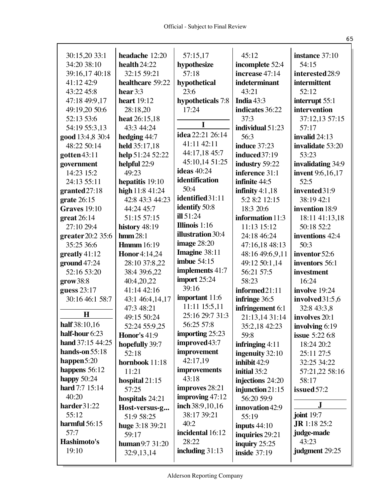| 30:15,20 33:1                   | headache 12:20           | 57:15,17                    | 45:12                              | instance 37:10          |
|---------------------------------|--------------------------|-----------------------------|------------------------------------|-------------------------|
| 34:20 38:10                     | health $24:22$           | hypothesize                 | incomplete 52:4                    | 54:15                   |
| 39:16,17 40:18                  | 32:15 59:21              | 57:18                       | increase 47:14                     | interested 28:9         |
| 41:12 42:9                      | healthcare 59:22         | hypothetical                | indeterminant                      | intermittent            |
| 43:22 45:8                      | hear $3:3$               | 23:6                        | 43:21                              | 52:12                   |
| 47:18 49:9,17                   | <b>heart</b> 19:12       | hypotheticals 7:8           | India $43:3$                       | interrupt 55:1          |
| 49:19,20 50:6                   | 28:18,20                 | 17:24                       | indicates 36:22                    | intervention            |
| 52:13 53:6                      | heat 26:15,18            |                             | 37:3                               | 37:12,13 57:15          |
| 54:19 55:3,13                   | 43:3 44:24               | I                           | individual 51:23                   | 57:17                   |
| good 13:4,8 30:4                | hedging 44:7             | idea 22:21 26:14            | 56:3                               | invalid 24:13           |
| 48:22 50:14                     | held 35:17,18            | 41:11 42:11                 | <b>induce</b> 37:23                | invalidate 53:20        |
| gotten43:11                     | help 51:24 52:22         | 44:17,18 45:7               | induced37:19                       | 53:23                   |
| government                      | helpful 22:9             | 45:10,14 51:25              | industry 59:22                     | invalidating 34:9       |
| 14:23 15:2                      | 49:23                    | <b>ideas</b> 40:24          | inference 31:1                     | <b>invent</b> 9:6,16,17 |
| 24:13 55:11                     | hepatitis 19:10          | identification              | infinite 44:5                      | 52:5                    |
| granted27:18                    | high 11:8 41:24          | 50:4                        | infinity $4:1,18$                  | invented31:9            |
| grate $26:15$                   | 42:8 43:3 44:23          | identified31:11             | 5:2 8:2 12:15                      | 38:19 42:1              |
| <b>Graves</b> 19:10             | 44:24 45:7               | identify 50:8               | 18:3 20:6                          | invention 18:9          |
| $gr$ eat 26:14                  | 51:15 57:15              | ill 51:24                   | information 11:3                   | 18:11 41:13,18          |
| 27:10 29:4                      | history 48:19            | Illinois $1:16$             | 11:13 15:12                        | 50:18 52:2              |
| greater 20:2 35:6               | $\mathrm{lnmm}$ 28:1     | illustration 30:4           | 24:18 46:24                        | inventions 42:4         |
| 35:25 36:6                      | <b>Hmmm</b> 16:19        | image 28:20                 | 47:16,18 48:13                     | 50:3                    |
| greatly $41:12$                 | <b>Honor</b> 4:14,24     | Imagine 38:11               | 48:16 49:6,9,11                    | inventor 52:6           |
| ground47:24                     | 28:10 37:8,22            | imbue $54:15$               | 49:12 50:1,14                      | inventors 56:1          |
| 52:16 53:20                     | 38:4 39:6,22             | implements 41:7             | 56:21 57:5                         | investment              |
| grow 38:8                       | 40:4,20,22               | import 25:24                | 58:23                              | 16:24                   |
| guess 23:17                     | 41:14 42:16              | 39:16                       | informed21:11                      | involve 19:24           |
| 30:16 46:1 58:7                 | 43:1 46:4,14,17          | important 11:6              | infringe 36:5                      | involved 31:5,6         |
| H                               | 47:3 48:21               | 11:11 15:5,11               | infringement 6:1                   | 32:8 43:3,8             |
|                                 | 49:15 50:24              | 25:16 29:7 31:3             | 21:13,14 31:14                     | involves 20:1           |
| half 38:10,16<br>half-hour 6:23 | 52:24 55:9,25            | 56:25 57:8                  | 35:2,18 42:23                      | involving 6:19          |
| hand 37:15 44:25                | <b>Honor's 41:9</b>      | importing 25:23             | 59:8                               | <b>issue</b> 5:22 6:8   |
| hands-on 55:18                  | hopefully 39:7           | improved43:7<br>improvement | infringing $4:11$                  | 18:24 20:2              |
| happen $5:20$                   | 52:18                    | 42:17,19                    | ingenuity 32:10                    | 25:11 27:5              |
| happens $56:12$                 | hornbook 11:18           | improvements                | inhibit 42:9                       | 32:25 34:22             |
| happy $50:24$                   | 11:21                    | 43:18                       | initial 35:2                       | 57:21,22 58:16          |
| hard 7:7 15:14                  | hospital $21:15$         | improves 28:21              | injections 24:20                   | 58:17                   |
| 40:20                           | 57:25                    | improving $47:12$           | injunction $21:15$                 | issued 57:2             |
| harder31:22                     | hospitals 24:21          | inch 38:9,10,16             | 56:20 59:9                         | J                       |
| 55:12                           | Host-versus-g            | 38:17 39:21                 | innovation 42:9                    | joint 19:7              |
| harmful 56:15                   | 51:9 58:25               | 40:2                        | 55:19                              | <b>JR</b> 1:18 25:2     |
| 57:7                            | huge 3:18 39:21<br>59:17 | incidental 16:12            | inputs $44:10$                     | judge-made              |
| Hashimoto's                     | human 9:7 31:20          | 28:22                       | inquiries 29:21<br>inquiry $25:25$ | 43:23                   |
| 19:10                           | 32:9,13,14               | including $31:13$           | inside $37:19$                     | judgment 29:25          |
|                                 |                          |                             |                                    |                         |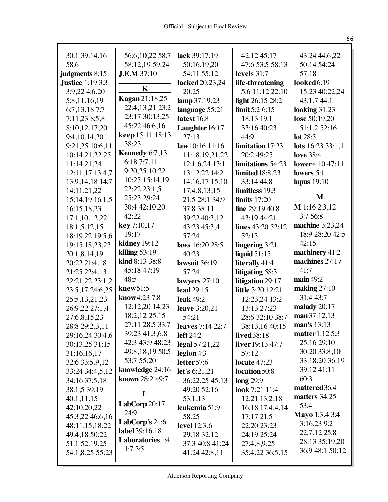| 30:1 39:14,16<br>58:6                     | 56:6, 10, 22 58:7<br>58:12,19 59:24 | lack 39:17,19<br>50:16,19,20 | 42:12 45:17<br>47:6 53:5 58:13 | 43:24 44:6,22<br>50:14 54:24 |
|-------------------------------------------|-------------------------------------|------------------------------|--------------------------------|------------------------------|
|                                           | <b>J.E.M</b> 37:10                  | 54:11 55:12                  | levels 31:7                    | 57:18                        |
| judgments 8:15<br><b>Justice</b> 1:19 3:3 |                                     |                              | life-threatening               | looked6:19                   |
|                                           | K                                   | lacked 20:23,24              | 5:6 11:12 22:10                |                              |
| 3:9,22 4:6,20                             | Kagan 21:18,25                      | 20:25                        |                                | 15:23 40:22,24               |
| 5:8,11,16,19                              | 22:4, 13, 21 23: 2                  | lamp 37:19,23                | light 26:15 28:2               | 43:1,7 44:1                  |
| 6:7, 13, 18 7:7                           | 23:17 30:13,25                      | language 55:21               | limit 5:2 6:15                 | looking $31:23$              |
| 7:11,23 8:5,8                             | 45:22 46:6,16                       | latest 16:8                  | 18:13 19:1                     | lose 50:19,20                |
| 8:10,12,17,20                             | keep 15:11 18:13                    | Laughter 16:17               | 33:16 40:23                    | 51:1,2 52:16                 |
| 9:4, 10, 14, 20                           | 38:23                               | 27:13                        | 44:9                           | lot 28:5                     |
| 9:21,25 10:6,11                           |                                     | law 10:16 11:16              | limitation 17:23               | lots $16:23$ 33:1,1          |
| 10:14,21,22,25                            | Kennedy 6:7,13                      | 11:18,19,21,22               | 20:2 49:25                     | <b>love</b> 38:4             |
| 11:14,21,24                               | 6:18 7:7,11                         | 12:1,6,24 13:1               | limitations 54:23              | <b>lower</b> 4:10 47:11      |
| 12:11,17 13:4,7                           | 9:20,25 10:22                       | 13:12,22 14:2                | <b>limited</b> 18:8,23         | lowers $5:1$                 |
| 13:9, 14, 18 14: 7                        | 10:25 15:14,19                      | 14:16,17 15:10               | 33:14 44:8                     | <b>lupus</b> 19:10           |
| 14:11,21,22                               | 22:22 23:1,5                        | 17:4,8,13,15                 | limitless 19:3                 | M                            |
| 15:14,19 16:1,5                           | 25:23 29:24                         | 21:5 28:1 34:9               | limits $17:20$                 |                              |
| 16:15,18,23                               | 30:4 42:10,20                       | 37:8 38:11                   | line 29:19 40:8                | $M$ 1:16 2:3,12              |
| 17:1,10,12,22                             | 42:22                               | 39:22 40:3,12                | 43:19 44:21                    | 3:7 56:8                     |
| 18:1,5,12,15                              | key 7:10,17                         | 43:23 45:3,4                 | lines 43:20 52:12              | machine 3:23,24              |
| 18:19,22 19:5,6                           | 19:17                               | 57:24                        | 52:13                          | 18:9 28:20 42:5              |
| 19:15, 18, 23, 23                         | kidney 19:12                        | laws 16:20 28:5              | lingering 3:21                 | 42:15                        |
| 20:1,8,14,19                              | killing $53:19$                     | 40:23                        | liquid $51:15$                 | machinery 41:2               |
| 20:22 21:4,18                             | kind 8:13 38:8                      | lawsuit 56:19                | literally 41:4                 | machines 27:17               |
| 21:25 22:4,13                             | 45:18 47:19                         | 57:24                        | litigating 58:3                | 41:7                         |
| 22:21,22 23:1,2                           | 48:5                                | lawyers $27:10$              | litigation 29:17               | main 49:2                    |
| 23:5,17 24:6,25                           | knew51:5                            | lead 29:15                   | <b>little</b> 3:20 12:21       | making $27:10$               |
| 25:5, 13, 21, 23                          | know4:23 7:8                        | <b>leak</b> 49:2             | 12:23,24 13:2                  | 31:4 43:7                    |
| 26:9,22 27:1,4                            | 12:12,20 14:23                      | leave 3:20,21                | 13:13 27:23                    | malady 20:17                 |
| 27:6,8,15,23                              | 18:2,12 25:15                       | 54:21                        | 28:6 32:10 38:7                | man 37:12,13                 |
| 28:8 29:2,3,11                            | 27:11 28:5 33:7                     | leaves 7:14 22:7             | 38:13,16 40:15                 | man's 13:13                  |
| 29:16,24 30:4,6                           | 39:23 41:3,6,8                      | <b>left</b> 24:2             | lived 38:18                    | <b>matter</b> 1:12 5:3       |
| 30:13,25 31:15                            | 42:3 43:9 48:23                     | legal 57:21,22               | liver 19:13 47:7               | 25:16 29:10                  |
| 31:16,16,17                               | 49:8, 18, 19 50: 5                  | legion 4:3                   | 57:12                          | 30:20 33:8,10                |
| 32:6 33:5,9,12                            | 53:7 55:20                          | letter 57:6                  | <b>locate</b> 47:23            | 33:18,20 36:19               |
| 33:24 34:4,5,12                           | knowledge 24:16                     | let's 6:21,21                | location 50:8                  | 39:12 41:11                  |
| 34:16 37:5,18                             | known 28:2 49:7                     | 36:22,25 45:13               | long 29:9                      | 60:3                         |
| 38:1,5 39:19                              | L                                   | 49:20 52:16                  | look 7:21 11:4                 | mattered 36:4                |
| 40:1,11,15                                |                                     | 53:1,13                      | 12:21 13:2,18                  | matters 34:25                |
| 42:10,20,22                               | LabCorp 20:17                       | leukemia 51:9                | 16:18 17:4,4,14                | 53:4                         |
| 45:3,22 46:6,16                           | 24:9                                | 58:25                        | 17:17 21:5                     | Mayo 1:3,4 3:4               |
| 48:11,15,18,22                            | LabCorp's 21:6                      | <b>level</b> 12:3,6          | 22:20 23:23                    | 3:16,23 9:2                  |
| 49:4,18 50:22                             | label 39:16,18                      | 29:18 32:12                  | 24:19 25:24                    | 22:7,12 25:8                 |
| 51:1 52:19,25                             | <b>Laboratories</b> 1:4             | 37:3 40:8 41:24              | 27:4,8,9,25                    | 28:13 35:19,20               |
| 54:1,8,25 55:23                           | 1:73:5                              | 41:24 42:8,11                | 35:4,22 36:5,15                | 36:9 48:1 50:12              |
|                                           |                                     |                              |                                |                              |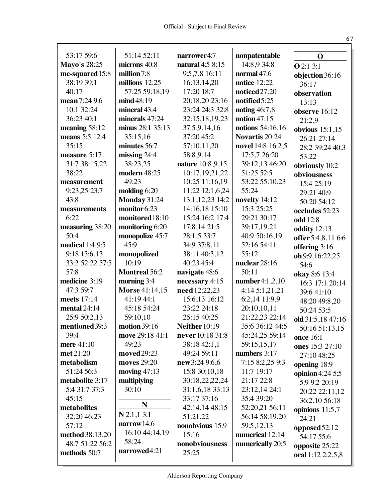| 53:17 59:6             | 51:14 52:11                  | narrower4:7          | nonpatentable       | $\mathbf 0$                      |
|------------------------|------------------------------|----------------------|---------------------|----------------------------------|
| Mayo's 28:25           | microns 40:8                 | natural 4:5 8:15     | 14:8,9 34:8         |                                  |
| mc-squared 15:8        | million 7:8                  | 9:5,7,8 16:11        | normal 47:6         | <b>O</b> 2:1 3:1                 |
| 38:19 39:1             | millions $12:25$             | 16:13,14,20          | <b>notice</b> 12:22 | objection 36:16                  |
| 40:17                  | 57:25 59:18,19               | 17:20 18:7           | noticed 27:20       | 36:17                            |
| mean 7:24 9:6          | mid 48:19                    | 20:18,20 23:16       | notified 5:25       | observation                      |
| 10:1 32:24             | mineral 43:4                 | 23:24 24:3 32:8      | noting 46:7,8       | 13:13                            |
| 36:23 40:1             | minerals 47:24               | 32:15,18,19,23       | notion $47:15$      | observe 16:12                    |
| meaning 58:12          | minus 28:1 35:13             | 37:5,9,14,16         | notions 54:16,16    | 21:2,9                           |
| means 5:5 12:4         | 35:15,16                     | 37:20 45:2           | Novartis 20:24      | obvious $15:1,15$<br>26:21 27:14 |
| 35:15                  | minutes 56:7                 | 57:10,11,20          | novel 14:8 16:2,5   | 28:2 39:24 40:3                  |
| measure 5:17           | $missing$ 24:4               | 58:8,9,14            | 17:5,7 26:20        | 53:22                            |
| 31:7 38:15,22          | 38:23,25                     | nature 10:8,9,15     | 39:12,13 46:20      |                                  |
| 38:22                  | modern 48:25                 | 10:17,19,21,22       | 51:25 52:5          | obviously 10:2<br>obviousness    |
| measurement            | 49:23                        | 10:25 11:16,19       | 53:22 55:10,23      | 15:4 25:19                       |
| 9:23,25 23:7           | molding $6:20$               | 11:22 12:1,6,24      | 55:24               | 29:21 40:9                       |
| 43:8                   | Monday 31:24                 | 13:1, 12, 23 14: 2   | novelty 14:12       | 50:20 54:12                      |
| measurements           | monitor 6:23                 | 14:16,18 15:10       | 15:3 25:25          | occludes 52:23                   |
| 6:22                   | monitored 18:10              | 15:24 16:2 17:4      | 29:21 30:17         | <b>odd</b> 12:8                  |
| measuring 38:20        | monitoring 6:20              | 17:8,14 21:5         | 39:17,19,21         | oddity 12:13                     |
| 50:4                   | monopolize 45:7              | 28:1,5 33:7          | 40:9 50:16,19       | offer 5:4,8,11 6:6               |
| <b>medical</b> 1:4 9:5 | 45:9                         | 34:9 37:8,11         | 52:16 54:11         | offering 3:16                    |
| 9:18 15:6,13           | monopolized                  | 38:11 40:3,12        | 55:12               | oh 9:9 16:22,25                  |
| 33:2 52:22 57:5        | 10:19                        | 40:23 45:4           | nuclear 28:16       | 54:6                             |
| 57:8                   | <b>Montreal 56:2</b>         | navigate 48:6        | 50:11               | okay 8:6 13:4                    |
| medicine 3:19          | morning 3:4                  | necessary 4:15       | number4:1,2,10      | 16:3 17:1 20:14                  |
| 47:3 59:7              | <b>Morse 41:14,15</b>        | need 12:22,23        | 4:14 5:1,21,21      | 39:6 41:10                       |
| meets 17:14            | 41:19 44:1                   | 15:6,13 16:12        | 6:2,14 11:9,9       | 48:20 49:8,20                    |
| mental 24:14           | 45:18 54:24                  | 23:22 24:18          | 20:10,10,11         | 50:24 53:5                       |
| 25:9 50:2,13           | 59:10,10                     | 25:15 40:25          | 21:22,23 22:14      | old 31:5,18 47:16                |
| mentioned 39:3         | <b>motion</b> 39:16          | <b>Neither</b> 10:19 | 35:6 36:12 44:5     | 50:16 51:13,15                   |
| 39:4                   | move 29:18 41:1              | never 10:18 31:8     | 45:24,25 59:14      | <b>once</b> 16:1                 |
| mere 41:10             | 49:23                        | 38:18 42:1,1         | 59:15,15,17         | ones 15:3 27:10                  |
| met 21:20              | moved 29:23                  | 49:24 59:11          | numbers 3:17        | 27:10 48:25                      |
| metabolism             | moves 29:20                  | new 3:24 9:6,6       | 7:15 8:2,25 9:3     | opening 18:9                     |
| 51:24 56:3             | moving $47:13$               | 15:8 30:10,18        | 11:7 19:17          | opinion 4:24 5:5                 |
| metabolite 3:17        | multiplying                  | 30:18,22,22,24       | 21:17 22:8          | 5:9 9:2 20:19                    |
| 5:4 31:7 37:3          | 30:10                        | 31:1,6,18 33:13      | 23:12,14 24:1       | 20:22 22:11,12                   |
| 45:15                  | $\mathbf N$                  | 33:17 37:16          | 35:4 39:20          | 36:2,10 56:18                    |
| metabolites            |                              | 42:14,14 48:15       | 52:20,21 56:11      | opinions $11:5,7$                |
| 32:20 46:23            | $N$ 2:1,1 3:1<br>narrow 14:6 | 51:21,22             | 56:14 58:19,20      | 24:21                            |
| 57:12                  |                              | nonobvious 15:9      | 59:5,12,13          | opposed 52:12                    |
| method 38:13,20        | 16:10 44:14,19               | 15:16                | numerical 12:14     | 54:17 55:6                       |
| 48:7 51:22 56:2        | 58:24<br>narrowed4:21        | nonobviousness       | numerically 20:5    | opposite 25:22                   |
| methods 50:7           |                              | 25:25                |                     | oral 1:12 2:2,5,8                |
|                        |                              |                      |                     |                                  |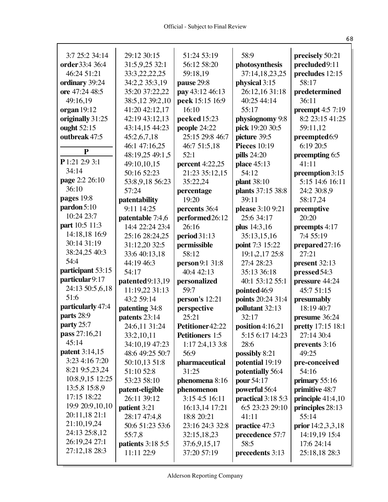| 3:7 25:2 34:14                          | 29:12 30:15              | 51:24 53:19            | 58:9                | precisely 50:21          |
|-----------------------------------------|--------------------------|------------------------|---------------------|--------------------------|
| order 33:4 36:4                         | 31:5,9,25 32:1           | 56:12 58:20            | photosynthesis      | precluded9:11            |
| 46:24 51:21                             | 33:3, 22, 22, 25         | 59:18,19               | 37:14,18,23,25      | precludes 12:15          |
| ordinary 39:24                          | 34:2,2 35:3,19           | pause 29:8             | physical 3:15       | 58:17                    |
| ore 47:24 48:5                          | 35:20 37:22,22           | pay 43:12 46:13        | 26:12,16 31:18      | predetermined            |
| 49:16,19                                | 38:5,12 39:2,10          | peek 15:15 16:9        | 40:25 44:14         | 36:11                    |
| organ $19:12$                           | 41:20 42:12,17           | 16:10                  | 55:17               | <b>preempt</b> 4:5 7:19  |
| originally 31:25                        | 42:19 43:12,13           | peeked 15:23           | physiognomy 9:8     | 8:2 23:15 41:25          |
| ought 52:15                             | 43:14,15 44:23           | people 24:22           | pick 19:20 30:5     | 59:11,12                 |
| outbreak 47:5                           | 45:2,6,7,18              | 25:15 29:8 46:7        | picture 39:5        | preempted6:9             |
|                                         | 46:1 47:16,25            | 46:7 51:5,18           | <b>Pieces</b> 10:19 | 6:19 20:5                |
| $\mathbf{P}$                            | 48:19,25 49:1,5          | 52:1                   | pills 24:20         | preempting 6:5           |
| P 1:21 2:9 3:1                          | 49:10,10,15              | <b>percent</b> 4:22,25 | place 45:13         | 41:11                    |
| 34:14                                   | 50:16 52:23              | 21:23 35:12,15         | 54:12               | preemption 3:15          |
| page 2:2 26:10                          | 53:8,9,18 56:23          | 35:22,24               | <b>plant</b> 38:10  | 5:15 14:6 16:11          |
| 36:10                                   | 57:24                    | percentage             | plants 37:15 38:8   | 24:2 30:8,9              |
| pages 19:8                              | patentability            | 19:20                  | 39:11               | 58:17,24                 |
| pardon 5:10                             | 9:11 14:25               | percents 36:4          | please 3:10 9:21    | preemptive               |
| 10:24 23:7                              | patentable 7:4,6         | performed26:12         | 25:6 34:17          | 20:20                    |
| part 10:5 11:3                          | 14:4 22:24 23:4          | 26:16                  | plus 14:3,16        | preempts 4:17            |
| 14:18,18 16:9                           | 25:16 28:24,25           | period 31:13           | 35:13,15,16         | 7:4 55:19                |
| 30:14 31:19                             | 31:12,20 32:5            | permissible            | point 7:3 15:22     | prepared 27:16           |
| 38:24,25 40:3                           | 33:6 40:13,18            | 58:12                  | 19:1, 2, 17 25:8    | 27:21                    |
| 54:4                                    | 44:19 46:3               | person 9:1 31:8        | 27:4 28:23          | present 32:13            |
| participant 53:15                       | 54:17                    | 40:4 42:13             | 35:13 36:18         | pressed 54:3             |
| particular 9:17                         | patented9:13,19          | personalized           | 40:1 53:12 55:1     | pressure 44:24           |
| 24:13 50:5,6,18                         | 11:19,22 31:13           | 59:7                   | pointed 46:9        | 45:7 51:15               |
| 51:6                                    | 43:2 59:14               | person's 12:21         | points 20:24 31:4   | presumably               |
| particularly 47:4                       | patenting 34:8           | perspective            | pollutant 32:13     | 18:19 40:7               |
| parts 28:9                              | patents 23:14            | 25:21                  | 32:17               | presume 36:24            |
| party 25:7                              | 24:6,11 31:24            | Petitioner42:22        | position $4:16,21$  | <b>pretty</b> 17:15 18:1 |
| pass 27:16,21                           | 33:2,10,11               | <b>Petitioners</b> 1:5 | 5:15 6:17 14:23     | 27:14 30:4               |
| 45:14                                   | 34:10,19 47:23           | 1:17 2:4,13 3:8        | 28:6                | prevents 3:16            |
| <b>patent</b> 3:14,15<br>3:23 4:16 7:20 | 48:6 49:25 50:7          | 56:9                   | possibly 8:21       | 49:25                    |
| 8:21 9:5,23,24                          | 50:10,13 51:8            | pharmaceutical         | potential 19:19     | pre-conceived            |
| 10:8,9,15 12:25                         | 51:10 52:8               | 31:25                  | potentially 56:4    | 54:16                    |
| 13:5,8 15:8,9                           | 53:23 58:10              | phenomena 8:16         | pour 54:17          | primary 55:16            |
| 17:15 18:22                             | patent-eligible          | phenomenon             | powerful 56:4       | primitive 48:7           |
| 19:9 20:9,10,10                         | 26:11 39:12              | 3:15 4:5 16:11         | practical 3:18 5:3  | principle 41:4,10        |
| 20:11,18 21:1                           | patient 3:21             | 16:13,14 17:21         | 6:5 23:23 29:10     | principles 28:13         |
| 21:10,19,24                             | 28:17 47:4,8             | 18:8 20:21             | 41:11               | 55:14                    |
| 24:13 25:8,12                           | 50:6 51:23 53:6          | 23:16 24:3 32:8        | practice 47:3       | prior $14:2,3,3,18$      |
| 26:19,24 27:1                           | 55:7,8                   | 32:15,18,23            | precedence 57:7     | 14:19,19 15:4            |
| 27:12,18 28:3                           | <b>patients</b> 3:18 5:5 | 37:6,9,15,17           | 58:5                | 17:6 24:14               |
|                                         | 11:11 22:9               | 37:20 57:19            | precedents 3:13     | 25:18,18 28:3            |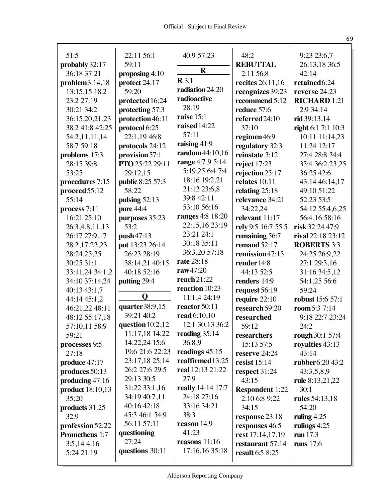| 51:5                    | 22:11 56:1                    | 40:9 57:23              | 48:2                   | 9:23 23:6,7             |
|-------------------------|-------------------------------|-------------------------|------------------------|-------------------------|
| probably 32:17          | 59:11                         |                         | <b>REBUTTAL</b>        | 26:13,18 36:5           |
| 36:18 37:21             | proposing 4:10                | $\mathbf R$             | 2:11 56:8              | 42:14                   |
| problem3:14,18          | protect 24:17                 | $\mathbf{R} 3:1$        | recites 26:11,16       | retained6:24            |
| 13:15,15 18:2           | 59:20                         | radiation 24:20         | recognizes 39:23       | reverse 24:23           |
| 23:2 27:19              | protected 16:24               | radioactive             | recommend 5:12         | <b>RICHARD 1:21</b>     |
| 30:21 34:2              | protecting 57:3               | 28:19                   | reduce 57:6            | 2:9 34:14               |
| 36:15,20,21,23          | protection 46:11              | raise 15:1              | referred 24:10         | $rid$ 39:13,14          |
| 38:2 41:8 42:25         | protocol 6:25                 | raised 14:22            | 37:10                  | right 6:1 7:1 10:3      |
| 54:2,11,11,14           | 22:1,19 46:8                  | 57:11                   | regimen46:9            | 10:11 11:14,23          |
| 58:7 59:18              | protocols 24:12               | raising 41:9            | regulatory 32:3        | 11:24 12:17             |
| problems 17:3           | provision 57:1                | random 44:10,16         | reinstate 3:12         | 27:4 28:8 34:4          |
| 28:15 39:8              | <b>PTO</b> 25:22 29:11        | range 4:7,9 5:14        | reject 17:23           | 35:4 36:2,23,25         |
| 53:25                   | 29:12,15                      | 5:19,25 6:4 7:4         | rejection 25:17        | 36:25 42:6              |
| procedures 7:15         | public 8:25 57:3              | 18:16 19:2,21           | relates 10:11          | 43:14 46:14,17          |
| proceed 55:12           | 58:22                         | 21:12 23:6,8            | relating $25:18$       | 49:10 51:22             |
| 55:14                   | pulsing $52:13$               | 39:8 42:11              | relevance 34:21        | 52:23 53:5              |
| process 7:11            | pure 44:4                     | 53:10 56:16             | 34:22,24               | 54:12 55:4,6,25         |
| 16:21 25:10             | purposes 35:23                | <b>ranges</b> 4:8 18:20 | relevant 11:17         | 56:4,16 58:16           |
| 26:3,4,8,11,13          | 53:2                          | 22:15,16 23:19          | rely 9:5 16:7 55:5     | risk 32:24 47:9         |
| 26:17 27:9,17           | push47:13                     | 23:21 24:1              | remaining 56:7         | rival 22:18 23:12       |
| 28:2,17,22,23           | put 13:23 26:14               | 30:18 35:11             | remand 52:17           | <b>ROBERTS 3:3</b>      |
| 28:24,25,25             | 26:23 28:19                   | 36:3,20 57:18           | remission $47:13$      | 24:25 26:9,22           |
| 30:25 31:1              | 38:14,21 40:15                | <b>rate</b> 28:18       | render 14:8            | 27:1 29:3,16            |
| 33:11,24 34:1,2         | 40:18 52:16                   | raw47:20                | 44:13 52:5             | 31:16 34:5,12           |
| 34:10 37:14,24          | putting 29:4                  | reach21:22              | renders 14:9           | 54:1,25 56:6            |
| 40:13 43:1,7            |                               | reaction 10:23          | request 56:19          | 59:24                   |
| 44:14 45:1,2            | Q                             | 11:1,4 24:19            | require $22:10$        | <b>robust</b> 15:6 57:1 |
| 46:21,22 48:11          | quarter 38:9,15               | reactor 50:11           | research 59:20         | room 5:3 7:14           |
| 48:12 55:17,18          | 39:21 40:2                    | read 6:10,10            | researched             | 9:18 22:7 23:24         |
| 57:10,11 58:9           | question $10:2,12$            | 12:1 30:13 36:2         | 59:12                  | 24:2                    |
| 59:21                   | 11:17,18 14:22                | reading $35:14$         | researchers            | rough 30:1 57:4         |
| processes 9:5           | 14:22,24 15:6                 | 36:8.9                  | 15:13 57:5             | royalties 43:13         |
| 27:18                   | 19:6 21:6 22:23               | readings 45:15          | reserve 24:24          | 43:14                   |
| produce 47:17           | 23:17,18 25:14                | reaffirmed 13:25        | resist $15:14$         | <b>rubber</b> 6:20 43:2 |
| produces 50:13          | 26:2 27:6 29:5                | real 12:13 21:22        | respect 31:24          | 43:3,5,8,9              |
| producing 47:16         | 29:13 30:5                    | 27:9                    | 43:15                  | rule 8:13,21,22         |
| <b>product</b> 18:10,13 | 31:22 33:1,16                 | really 14:14 17:7       | <b>Respondent 1:22</b> | 30:1                    |
| 35:20                   | 34:19 40:7,11<br>40:16 42:18  | 24:18 27:16             | 2:10 6:8 9:22          | <b>rules</b> 54:13,18   |
| products 31:25          |                               | 33:16 34:21             | 34:15                  | 54:20                   |
| 32:9                    | 45:3 46:1 54:9<br>56:11 57:11 | 38:3<br>reason 14:9     | response 23:18         | ruling $4:25$           |
| profession 52:22        |                               |                         | responses 46:5         | rulings 4:25            |
| <b>Prometheus</b> 1:7   | questioning<br>27:24          | 41:23                   | rest 17:14,17,19       | run $17:3$              |
| 3:5,144:16              |                               | reasons $11:16$         | restaurant 57:14       | runs $17:6$             |
| 5:24 21:19              | questions 30:11               | 17:16,16 35:18          | <b>result</b> 6:5 8:25 |                         |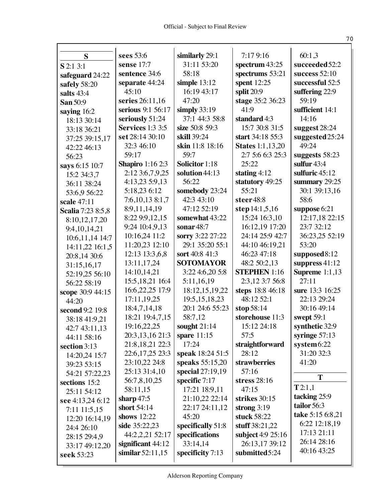|                            | sees 53:6               | similarly 29:1        | 7:17 9:16               | 60:1,3                |
|----------------------------|-------------------------|-----------------------|-------------------------|-----------------------|
| S                          | sense 17:7              | 31:11 53:20           | spectrum $43:25$        | succeeded 52:2        |
| S 2:1 3:1                  | sentence 34:6           | 58:18                 | spectrums 53:21         | success $52:10$       |
| safeguard 24:22            | separate 44:24          | simple $13:12$        | spent 12:25             | successful 52:5       |
| safely 58:20               | 45:10                   | 16:19 43:17           | split 20:9              | suffering 22:9        |
| salts 43:4                 | series 26:11,16         | 47:20                 | stage 35:2 36:23        | 59:19                 |
| San 50:9                   | serious 9:1 56:17       | simply $33:19$        | 41:9                    | sufficient 14:1       |
| saying 16:2                | seriously 51:24         | 37:1 44:3 58:8        | standard 4:3            | 14:16                 |
| 18:13 30:14                | <b>Services</b> 1:3 3:5 | size 50:8 59:3        | 15:7 30:8 31:5          | suggest 28:24         |
| 33:18 36:21                | set 28:14 30:10         | skill 39:24           | start 34:18 55:3        | suggested 25:24       |
| 37:25 39:15,17             | 32:3 46:10              | skin 11:8 18:16       | <b>States</b> 1:1,13,20 | 49:24                 |
| 42:22 46:13                | 59:17                   | 59:7                  | 2:7 5:6 6:3 25:3        | suggests 58:23        |
| 56:23                      | <b>Shapiro</b> 1:16 2:3 | <b>Solicitor</b> 1:18 | 25:22                   | sulfur $43:4$         |
| says 6:15 10:7             | 2:12 3:6,7,9,25         | solution 44:13        | stating $4:12$          | sulfuric 45:12        |
| 15:2 34:3,7<br>36:11 38:24 | 4:13,23 5:9,13          | 56:22                 | statutory 49:25         | summary $29:25$       |
| 53:6,9 56:22               | 5:18,23 6:12            | somebody 23:24        | 55:21                   | 30:1 39:13,16         |
| scale 47:11                | 7:6, 10, 13 8:1, 7      | 42:3 43:10            | steer48:8               | 58:6                  |
| Scalia 7:23 8:5,8          | 8:9,11,14,19            | 47:12 52:19           | step 14:1,5,16          | suppose 6:21          |
| 8:10,12,17,20              | 8:22 9:9,12,15          | somewhat 43:22        | 15:24 16:3,10           | 12:17,18 22:15        |
| 9:4, 10, 14, 21            | 9:24 10:4,9,13          | sonar $48:7$          | 16:12,19 17:20          | 23:7 32:12            |
| 10:6, 11, 14 14:7          | 10:16,24 11:2           | sorry 3:22 27:22      | 24:14 25:9 42:7         | 36:23,25 52:19        |
| 14:11,22 16:1,5            | 11:20,23 12:10          | 29:1 35:20 55:1       | 44:10 46:19,21          | 53:20                 |
| 20:8,14 30:6               | 12:13 13:3,6,8          | sort 40:8 41:3        | 46:23 47:18             | supposed 8:12         |
| 31:15,16,17                | 13:11,17,24             | <b>SOTOMAYOR</b>      | 48:2 50:2,13            | suppress $41:12$      |
| 52:19,25 56:10             | 14:10,14,21             | 3:22 4:6,20 5:8       | <b>STEPHEN</b> 1:16     | <b>Supreme</b> 1:1,13 |
| 56:22 58:19                | 15:5, 18, 21 16:4       | 5:11,16,19            | 2:3,12 3:7 56:8         | 27:11                 |
| scope 30:9 44:15           | 16:6,22,25 17:9         | 18:12,15,19,22        | steps 18:8 46:18        | sure 13:3 16:25       |
| 44:20                      | 17:11,19,25             | 19:5, 15, 18, 23      | 48:12 52:1              | 22:13 29:24           |
| second 9:2 19:8            | 18:4,7,14,18            | 20:1 24:6 55:23       | stop 58:14              | 30:16 49:14           |
| 38:18 41:9,21              | 18:21 19:4,7,15         | 58:7,12               | storehouse 11:3         | swept 59:1            |
| 42:7 43:11,13              | 19:16,22,25             | sought 21:14          | 15:12 24:18             | synthetic 32:9        |
| 44:11 58:16                | 20:3, 13, 16 21:3       | spare $11:15$         | 57:5                    | syringe $57:13$       |
| section 3:13               | 21:8, 18, 21 22:3       | 17:24                 | straightforward         | $s$ ystem $6:22$      |
| 14:20,24 15:7              | 22:6, 17, 25 23:3       | speak 18:24 51:5      | 28:12                   | 31:20 32:3            |
| 39:23 53:15                | 23:10,22 24:8           | speaks 55:15,20       | strawberries            | 41:20                 |
| 54:21 57:22,23             | 25:13 31:4,10           | special 27:19,19      | 57:16                   |                       |
| sections 15:2              | 56:7,8,10,25            | specific 7:17         | stress 28:16            | T                     |
| 25:11 54:12                | 58:11,15                | 17:21 18:9,11         | 47:15                   | T2:1,1                |
| see 4:13,24 6:12           | sharp $47:5$            | 21:10,22 22:14        | strikes 30:15           | tacking 25:9          |
| 7:11 11:5,15               | short $54:14$           | 22:17 24:11,12        | strong $3:19$           | tailor 56:3           |
| 12:20 16:14,19             | shows 12:22             | 45:20                 | stuck 58:22             | take 5:15 6:8,21      |
| 24:4 26:10                 | side 35:22,23           | specifically 51:8     | stuff 38:21,22          | 6:22 12:18,19         |
| 28:15 29:4,9               | 44:2,2,21 52:17         | specifications        | subject 4:9 25:16       | 17:13 21:11           |
| 33:17 49:12,20             | significant 44:12       | 33:14,14              | 26:13,17 39:12          | 26:14 28:16           |
| seek 53:23                 | similar $52:11,15$      | specificity 7:13      | submitted5:24           | 40:16 43:25           |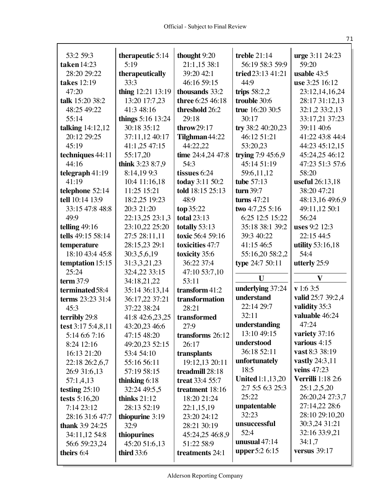| 59:20<br>21:1,15 38:1<br>56:19 58:3 59:9<br>taken 14:23<br>5:19<br>28:20 29:22<br>39:20 42:1<br>therapeutically<br>tried 23:13 41:21<br>usable 43:5<br>takes 12:19<br>33:3<br>46:16 59:15<br>44:9<br>use 3:25 16:12<br>thing 12:21 13:19<br>47:20<br>thousands 33:2<br>trips $58:2,2$<br>23:12,14,16,24<br>13:20 17:7,23<br>three 6:25 46:18<br>trouble 30:6<br>talk 15:20 38:2<br>28:17 31:12,13<br>41:3 48:16<br>48:25 49:22<br>threshold 26:2<br>true 16:20 30:5<br>32:1,2 33:2,13<br>55:14<br>things 5:16 13:24<br>29:18<br>30:17<br>33:17.21 37:23<br>talking 14:12,12<br>30:18 35:12<br>try 38:2 40:20,23<br>throw $29:17$<br>39:11 40:6<br>37:11,12 40:17<br>20:12 29:25<br>Tilghman 44:22<br>46:12 51:21<br>41:22 43:8 44:4<br>45:19<br>41:1,25 47:15<br>44:22,22<br>53:20,23<br>44:23 45:12,15<br>time 24:4,24 47:8<br>trying $7:945:6,9$<br>45:24,25 46:12<br>techniques 44:11<br>55:17,20<br>44:16<br>think 3:23 8:7,9<br>45:14 51:19<br>54:3<br>47:23 51:3 57:6<br>8:14,199:3<br>telegraph 41:19<br>tissues 6:24<br>59:6,11,12<br>58:20<br>today 3:11 50:2<br>41:19<br>10:4 11:16,18<br>tube 57:13<br>useful 26:13,18<br>told 18:15 25:13<br>38:20 47:21<br>telephone 52:14<br>11:25 15:21<br>turn 39:7<br>tell 10:14 13:9<br>18:2,25 19:23<br>48:9<br>turns $47:21$<br>48:13,16 49:6,9<br>20:3 21:20<br>49:11,12 50:1<br>33:15 47:8 48:8<br>top 35:22<br>two 4:7,25 5:16<br>49:9<br>22:13,25 23:1,3<br>6:25 12:5 15:22<br><b>total 23:13</b><br>56:24<br>telling $49:16$<br>23:10,22 25:20<br>totally 53:13<br>35:18 38:1 39:2<br>uses 9:2 12:3<br>tells 49:15 58:14<br>27:5 28:11,11<br>toxic 56:4 59:16<br>39:3 40:22<br>22:15 44:5<br>28:15,23 29:1<br>temperature<br>toxicities 47:7<br>41:15 46:5<br>utility 53:16,18<br>18:10 43:4 45:8<br>55:16,20 58:2,2<br>54:4<br>30:3,5,6,19<br>toxicity 35:6<br>36:22 37:4<br>type 24:7 50:11<br>31:3,3,21,23<br>utterly 25:9<br>temptation 15:15<br>25:24<br>32:4,22 33:15<br>47:10 53:7,10<br>$\mathbf{V}$<br>U<br>term $37:9$<br>34:18,21,22<br>53:11<br>v 1:6 3:5<br>underlying 37:24<br>transform 41:2<br>terminated 58:4<br>35:14 36:13,14<br>understand<br>valid 25:7 39:2,4<br>terms 23:23 31:4<br>36:17,22 37:21<br>transformation<br>validity 35:3<br>22:14 29:7<br>28:21<br>45:3<br>37:22 38:24<br>valuable 46:24<br>32:11<br>41:8 42:6,23,25<br>transformed<br>terribly 29:8<br>47:24<br>understanding<br>test 3:17 5:4,8,11<br>43:20,23 46:6<br>27:9<br>13:10 49:15<br>variety 37:16<br>transforms 26:12<br>5:14 6:6 7:16<br>47:15 48:20<br>various 4:15<br>understood<br>26:17<br>8:24 12:16<br>49:20,23 52:15<br>vast 8:3 38:19<br>36:18 52:11<br>16:13 21:20<br>53:4 54:10<br>transplants<br>vastly 24:3,11<br>unfortunately<br>55:16 56:11<br>19:12,13 20:11<br>22:18 26:2,6,7<br>18:5<br><b>veins</b> 47:23<br>26:9 31:6,13<br>treadmill 28:18<br>57:19 58:15<br><b>United</b> 1:1,13,20<br><b>Verrilli</b> 1:18 2:6<br>thinking $6:18$<br>treat 33:4 55:7<br>57:1,4,13<br>2:7 5:5 6:3 25:3<br>25:1,2,5,20<br>testing $25:10$<br>32:24 49:5,5<br>treatment 18:16<br>26:20,24 27:3,7<br>25:22<br>tests $5:16,20$<br>thinks $21:12$<br>18:20 21:24<br>27:14,22 28:6<br>unpatentable<br>7:14 23:12<br>28:13 52:19<br>22:1,15,19<br>32:23<br>28:10 29:10,20<br>28:16 31:6 47:7<br>thiopurine $3:19$<br>23:20 24:12<br>30:3,24 31:21<br>unsuccessful<br><b>thank</b> 3:9 24:25<br>32:9<br>28:21 30:19<br>52:4<br>32:16 33:9,21<br>thiopurines<br>45:24,25 46:8,9<br>34:11,12 54:8<br>unusual $47:14$<br>34:1,7<br>56:6 59:23,24<br>45:20 51:6,13<br>51:22 58:9<br><b>upper</b> 5:2 6:15<br>versus $39:17$<br>theirs 6:4<br><b>third</b> 33:6<br>treatments 24:1 | 53:2 59:3 |                  | thought 9:20 | treble $21:14$ | urge 3:11 24:23 |
|---------------------------------------------------------------------------------------------------------------------------------------------------------------------------------------------------------------------------------------------------------------------------------------------------------------------------------------------------------------------------------------------------------------------------------------------------------------------------------------------------------------------------------------------------------------------------------------------------------------------------------------------------------------------------------------------------------------------------------------------------------------------------------------------------------------------------------------------------------------------------------------------------------------------------------------------------------------------------------------------------------------------------------------------------------------------------------------------------------------------------------------------------------------------------------------------------------------------------------------------------------------------------------------------------------------------------------------------------------------------------------------------------------------------------------------------------------------------------------------------------------------------------------------------------------------------------------------------------------------------------------------------------------------------------------------------------------------------------------------------------------------------------------------------------------------------------------------------------------------------------------------------------------------------------------------------------------------------------------------------------------------------------------------------------------------------------------------------------------------------------------------------------------------------------------------------------------------------------------------------------------------------------------------------------------------------------------------------------------------------------------------------------------------------------------------------------------------------------------------------------------------------------------------------------------------------------------------------------------------------------------------------------------------------------------------------------------------------------------------------------------------------------------------------------------------------------------------------------------------------------------------------------------------------------------------------------------------------------------------------------------------------------------------------------------------------------------------------------------------------------------------------------------------------------------------------------------------------------------------------------------------------------------------------------------------------------------------------------------------------------------------------------------------------------------------------------------------------------------------------------------------------------------------------------------------------------------------------------------------------------------------|-----------|------------------|--------------|----------------|-----------------|
|                                                                                                                                                                                                                                                                                                                                                                                                                                                                                                                                                                                                                                                                                                                                                                                                                                                                                                                                                                                                                                                                                                                                                                                                                                                                                                                                                                                                                                                                                                                                                                                                                                                                                                                                                                                                                                                                                                                                                                                                                                                                                                                                                                                                                                                                                                                                                                                                                                                                                                                                                                                                                                                                                                                                                                                                                                                                                                                                                                                                                                                                                                                                                                                                                                                                                                                                                                                                                                                                                                                                                                                                                                       |           | therapeutic 5:14 |              |                |                 |
|                                                                                                                                                                                                                                                                                                                                                                                                                                                                                                                                                                                                                                                                                                                                                                                                                                                                                                                                                                                                                                                                                                                                                                                                                                                                                                                                                                                                                                                                                                                                                                                                                                                                                                                                                                                                                                                                                                                                                                                                                                                                                                                                                                                                                                                                                                                                                                                                                                                                                                                                                                                                                                                                                                                                                                                                                                                                                                                                                                                                                                                                                                                                                                                                                                                                                                                                                                                                                                                                                                                                                                                                                                       |           |                  |              |                |                 |
|                                                                                                                                                                                                                                                                                                                                                                                                                                                                                                                                                                                                                                                                                                                                                                                                                                                                                                                                                                                                                                                                                                                                                                                                                                                                                                                                                                                                                                                                                                                                                                                                                                                                                                                                                                                                                                                                                                                                                                                                                                                                                                                                                                                                                                                                                                                                                                                                                                                                                                                                                                                                                                                                                                                                                                                                                                                                                                                                                                                                                                                                                                                                                                                                                                                                                                                                                                                                                                                                                                                                                                                                                                       |           |                  |              |                |                 |
|                                                                                                                                                                                                                                                                                                                                                                                                                                                                                                                                                                                                                                                                                                                                                                                                                                                                                                                                                                                                                                                                                                                                                                                                                                                                                                                                                                                                                                                                                                                                                                                                                                                                                                                                                                                                                                                                                                                                                                                                                                                                                                                                                                                                                                                                                                                                                                                                                                                                                                                                                                                                                                                                                                                                                                                                                                                                                                                                                                                                                                                                                                                                                                                                                                                                                                                                                                                                                                                                                                                                                                                                                                       |           |                  |              |                |                 |
|                                                                                                                                                                                                                                                                                                                                                                                                                                                                                                                                                                                                                                                                                                                                                                                                                                                                                                                                                                                                                                                                                                                                                                                                                                                                                                                                                                                                                                                                                                                                                                                                                                                                                                                                                                                                                                                                                                                                                                                                                                                                                                                                                                                                                                                                                                                                                                                                                                                                                                                                                                                                                                                                                                                                                                                                                                                                                                                                                                                                                                                                                                                                                                                                                                                                                                                                                                                                                                                                                                                                                                                                                                       |           |                  |              |                |                 |
|                                                                                                                                                                                                                                                                                                                                                                                                                                                                                                                                                                                                                                                                                                                                                                                                                                                                                                                                                                                                                                                                                                                                                                                                                                                                                                                                                                                                                                                                                                                                                                                                                                                                                                                                                                                                                                                                                                                                                                                                                                                                                                                                                                                                                                                                                                                                                                                                                                                                                                                                                                                                                                                                                                                                                                                                                                                                                                                                                                                                                                                                                                                                                                                                                                                                                                                                                                                                                                                                                                                                                                                                                                       |           |                  |              |                |                 |
|                                                                                                                                                                                                                                                                                                                                                                                                                                                                                                                                                                                                                                                                                                                                                                                                                                                                                                                                                                                                                                                                                                                                                                                                                                                                                                                                                                                                                                                                                                                                                                                                                                                                                                                                                                                                                                                                                                                                                                                                                                                                                                                                                                                                                                                                                                                                                                                                                                                                                                                                                                                                                                                                                                                                                                                                                                                                                                                                                                                                                                                                                                                                                                                                                                                                                                                                                                                                                                                                                                                                                                                                                                       |           |                  |              |                |                 |
|                                                                                                                                                                                                                                                                                                                                                                                                                                                                                                                                                                                                                                                                                                                                                                                                                                                                                                                                                                                                                                                                                                                                                                                                                                                                                                                                                                                                                                                                                                                                                                                                                                                                                                                                                                                                                                                                                                                                                                                                                                                                                                                                                                                                                                                                                                                                                                                                                                                                                                                                                                                                                                                                                                                                                                                                                                                                                                                                                                                                                                                                                                                                                                                                                                                                                                                                                                                                                                                                                                                                                                                                                                       |           |                  |              |                |                 |
|                                                                                                                                                                                                                                                                                                                                                                                                                                                                                                                                                                                                                                                                                                                                                                                                                                                                                                                                                                                                                                                                                                                                                                                                                                                                                                                                                                                                                                                                                                                                                                                                                                                                                                                                                                                                                                                                                                                                                                                                                                                                                                                                                                                                                                                                                                                                                                                                                                                                                                                                                                                                                                                                                                                                                                                                                                                                                                                                                                                                                                                                                                                                                                                                                                                                                                                                                                                                                                                                                                                                                                                                                                       |           |                  |              |                |                 |
|                                                                                                                                                                                                                                                                                                                                                                                                                                                                                                                                                                                                                                                                                                                                                                                                                                                                                                                                                                                                                                                                                                                                                                                                                                                                                                                                                                                                                                                                                                                                                                                                                                                                                                                                                                                                                                                                                                                                                                                                                                                                                                                                                                                                                                                                                                                                                                                                                                                                                                                                                                                                                                                                                                                                                                                                                                                                                                                                                                                                                                                                                                                                                                                                                                                                                                                                                                                                                                                                                                                                                                                                                                       |           |                  |              |                |                 |
|                                                                                                                                                                                                                                                                                                                                                                                                                                                                                                                                                                                                                                                                                                                                                                                                                                                                                                                                                                                                                                                                                                                                                                                                                                                                                                                                                                                                                                                                                                                                                                                                                                                                                                                                                                                                                                                                                                                                                                                                                                                                                                                                                                                                                                                                                                                                                                                                                                                                                                                                                                                                                                                                                                                                                                                                                                                                                                                                                                                                                                                                                                                                                                                                                                                                                                                                                                                                                                                                                                                                                                                                                                       |           |                  |              |                |                 |
|                                                                                                                                                                                                                                                                                                                                                                                                                                                                                                                                                                                                                                                                                                                                                                                                                                                                                                                                                                                                                                                                                                                                                                                                                                                                                                                                                                                                                                                                                                                                                                                                                                                                                                                                                                                                                                                                                                                                                                                                                                                                                                                                                                                                                                                                                                                                                                                                                                                                                                                                                                                                                                                                                                                                                                                                                                                                                                                                                                                                                                                                                                                                                                                                                                                                                                                                                                                                                                                                                                                                                                                                                                       |           |                  |              |                |                 |
|                                                                                                                                                                                                                                                                                                                                                                                                                                                                                                                                                                                                                                                                                                                                                                                                                                                                                                                                                                                                                                                                                                                                                                                                                                                                                                                                                                                                                                                                                                                                                                                                                                                                                                                                                                                                                                                                                                                                                                                                                                                                                                                                                                                                                                                                                                                                                                                                                                                                                                                                                                                                                                                                                                                                                                                                                                                                                                                                                                                                                                                                                                                                                                                                                                                                                                                                                                                                                                                                                                                                                                                                                                       |           |                  |              |                |                 |
|                                                                                                                                                                                                                                                                                                                                                                                                                                                                                                                                                                                                                                                                                                                                                                                                                                                                                                                                                                                                                                                                                                                                                                                                                                                                                                                                                                                                                                                                                                                                                                                                                                                                                                                                                                                                                                                                                                                                                                                                                                                                                                                                                                                                                                                                                                                                                                                                                                                                                                                                                                                                                                                                                                                                                                                                                                                                                                                                                                                                                                                                                                                                                                                                                                                                                                                                                                                                                                                                                                                                                                                                                                       |           |                  |              |                |                 |
|                                                                                                                                                                                                                                                                                                                                                                                                                                                                                                                                                                                                                                                                                                                                                                                                                                                                                                                                                                                                                                                                                                                                                                                                                                                                                                                                                                                                                                                                                                                                                                                                                                                                                                                                                                                                                                                                                                                                                                                                                                                                                                                                                                                                                                                                                                                                                                                                                                                                                                                                                                                                                                                                                                                                                                                                                                                                                                                                                                                                                                                                                                                                                                                                                                                                                                                                                                                                                                                                                                                                                                                                                                       |           |                  |              |                |                 |
|                                                                                                                                                                                                                                                                                                                                                                                                                                                                                                                                                                                                                                                                                                                                                                                                                                                                                                                                                                                                                                                                                                                                                                                                                                                                                                                                                                                                                                                                                                                                                                                                                                                                                                                                                                                                                                                                                                                                                                                                                                                                                                                                                                                                                                                                                                                                                                                                                                                                                                                                                                                                                                                                                                                                                                                                                                                                                                                                                                                                                                                                                                                                                                                                                                                                                                                                                                                                                                                                                                                                                                                                                                       |           |                  |              |                |                 |
|                                                                                                                                                                                                                                                                                                                                                                                                                                                                                                                                                                                                                                                                                                                                                                                                                                                                                                                                                                                                                                                                                                                                                                                                                                                                                                                                                                                                                                                                                                                                                                                                                                                                                                                                                                                                                                                                                                                                                                                                                                                                                                                                                                                                                                                                                                                                                                                                                                                                                                                                                                                                                                                                                                                                                                                                                                                                                                                                                                                                                                                                                                                                                                                                                                                                                                                                                                                                                                                                                                                                                                                                                                       |           |                  |              |                |                 |
|                                                                                                                                                                                                                                                                                                                                                                                                                                                                                                                                                                                                                                                                                                                                                                                                                                                                                                                                                                                                                                                                                                                                                                                                                                                                                                                                                                                                                                                                                                                                                                                                                                                                                                                                                                                                                                                                                                                                                                                                                                                                                                                                                                                                                                                                                                                                                                                                                                                                                                                                                                                                                                                                                                                                                                                                                                                                                                                                                                                                                                                                                                                                                                                                                                                                                                                                                                                                                                                                                                                                                                                                                                       |           |                  |              |                |                 |
|                                                                                                                                                                                                                                                                                                                                                                                                                                                                                                                                                                                                                                                                                                                                                                                                                                                                                                                                                                                                                                                                                                                                                                                                                                                                                                                                                                                                                                                                                                                                                                                                                                                                                                                                                                                                                                                                                                                                                                                                                                                                                                                                                                                                                                                                                                                                                                                                                                                                                                                                                                                                                                                                                                                                                                                                                                                                                                                                                                                                                                                                                                                                                                                                                                                                                                                                                                                                                                                                                                                                                                                                                                       |           |                  |              |                |                 |
|                                                                                                                                                                                                                                                                                                                                                                                                                                                                                                                                                                                                                                                                                                                                                                                                                                                                                                                                                                                                                                                                                                                                                                                                                                                                                                                                                                                                                                                                                                                                                                                                                                                                                                                                                                                                                                                                                                                                                                                                                                                                                                                                                                                                                                                                                                                                                                                                                                                                                                                                                                                                                                                                                                                                                                                                                                                                                                                                                                                                                                                                                                                                                                                                                                                                                                                                                                                                                                                                                                                                                                                                                                       |           |                  |              |                |                 |
|                                                                                                                                                                                                                                                                                                                                                                                                                                                                                                                                                                                                                                                                                                                                                                                                                                                                                                                                                                                                                                                                                                                                                                                                                                                                                                                                                                                                                                                                                                                                                                                                                                                                                                                                                                                                                                                                                                                                                                                                                                                                                                                                                                                                                                                                                                                                                                                                                                                                                                                                                                                                                                                                                                                                                                                                                                                                                                                                                                                                                                                                                                                                                                                                                                                                                                                                                                                                                                                                                                                                                                                                                                       |           |                  |              |                |                 |
|                                                                                                                                                                                                                                                                                                                                                                                                                                                                                                                                                                                                                                                                                                                                                                                                                                                                                                                                                                                                                                                                                                                                                                                                                                                                                                                                                                                                                                                                                                                                                                                                                                                                                                                                                                                                                                                                                                                                                                                                                                                                                                                                                                                                                                                                                                                                                                                                                                                                                                                                                                                                                                                                                                                                                                                                                                                                                                                                                                                                                                                                                                                                                                                                                                                                                                                                                                                                                                                                                                                                                                                                                                       |           |                  |              |                |                 |
|                                                                                                                                                                                                                                                                                                                                                                                                                                                                                                                                                                                                                                                                                                                                                                                                                                                                                                                                                                                                                                                                                                                                                                                                                                                                                                                                                                                                                                                                                                                                                                                                                                                                                                                                                                                                                                                                                                                                                                                                                                                                                                                                                                                                                                                                                                                                                                                                                                                                                                                                                                                                                                                                                                                                                                                                                                                                                                                                                                                                                                                                                                                                                                                                                                                                                                                                                                                                                                                                                                                                                                                                                                       |           |                  |              |                |                 |
|                                                                                                                                                                                                                                                                                                                                                                                                                                                                                                                                                                                                                                                                                                                                                                                                                                                                                                                                                                                                                                                                                                                                                                                                                                                                                                                                                                                                                                                                                                                                                                                                                                                                                                                                                                                                                                                                                                                                                                                                                                                                                                                                                                                                                                                                                                                                                                                                                                                                                                                                                                                                                                                                                                                                                                                                                                                                                                                                                                                                                                                                                                                                                                                                                                                                                                                                                                                                                                                                                                                                                                                                                                       |           |                  |              |                |                 |
|                                                                                                                                                                                                                                                                                                                                                                                                                                                                                                                                                                                                                                                                                                                                                                                                                                                                                                                                                                                                                                                                                                                                                                                                                                                                                                                                                                                                                                                                                                                                                                                                                                                                                                                                                                                                                                                                                                                                                                                                                                                                                                                                                                                                                                                                                                                                                                                                                                                                                                                                                                                                                                                                                                                                                                                                                                                                                                                                                                                                                                                                                                                                                                                                                                                                                                                                                                                                                                                                                                                                                                                                                                       |           |                  |              |                |                 |
|                                                                                                                                                                                                                                                                                                                                                                                                                                                                                                                                                                                                                                                                                                                                                                                                                                                                                                                                                                                                                                                                                                                                                                                                                                                                                                                                                                                                                                                                                                                                                                                                                                                                                                                                                                                                                                                                                                                                                                                                                                                                                                                                                                                                                                                                                                                                                                                                                                                                                                                                                                                                                                                                                                                                                                                                                                                                                                                                                                                                                                                                                                                                                                                                                                                                                                                                                                                                                                                                                                                                                                                                                                       |           |                  |              |                |                 |
|                                                                                                                                                                                                                                                                                                                                                                                                                                                                                                                                                                                                                                                                                                                                                                                                                                                                                                                                                                                                                                                                                                                                                                                                                                                                                                                                                                                                                                                                                                                                                                                                                                                                                                                                                                                                                                                                                                                                                                                                                                                                                                                                                                                                                                                                                                                                                                                                                                                                                                                                                                                                                                                                                                                                                                                                                                                                                                                                                                                                                                                                                                                                                                                                                                                                                                                                                                                                                                                                                                                                                                                                                                       |           |                  |              |                |                 |
|                                                                                                                                                                                                                                                                                                                                                                                                                                                                                                                                                                                                                                                                                                                                                                                                                                                                                                                                                                                                                                                                                                                                                                                                                                                                                                                                                                                                                                                                                                                                                                                                                                                                                                                                                                                                                                                                                                                                                                                                                                                                                                                                                                                                                                                                                                                                                                                                                                                                                                                                                                                                                                                                                                                                                                                                                                                                                                                                                                                                                                                                                                                                                                                                                                                                                                                                                                                                                                                                                                                                                                                                                                       |           |                  |              |                |                 |
|                                                                                                                                                                                                                                                                                                                                                                                                                                                                                                                                                                                                                                                                                                                                                                                                                                                                                                                                                                                                                                                                                                                                                                                                                                                                                                                                                                                                                                                                                                                                                                                                                                                                                                                                                                                                                                                                                                                                                                                                                                                                                                                                                                                                                                                                                                                                                                                                                                                                                                                                                                                                                                                                                                                                                                                                                                                                                                                                                                                                                                                                                                                                                                                                                                                                                                                                                                                                                                                                                                                                                                                                                                       |           |                  |              |                |                 |
|                                                                                                                                                                                                                                                                                                                                                                                                                                                                                                                                                                                                                                                                                                                                                                                                                                                                                                                                                                                                                                                                                                                                                                                                                                                                                                                                                                                                                                                                                                                                                                                                                                                                                                                                                                                                                                                                                                                                                                                                                                                                                                                                                                                                                                                                                                                                                                                                                                                                                                                                                                                                                                                                                                                                                                                                                                                                                                                                                                                                                                                                                                                                                                                                                                                                                                                                                                                                                                                                                                                                                                                                                                       |           |                  |              |                |                 |
|                                                                                                                                                                                                                                                                                                                                                                                                                                                                                                                                                                                                                                                                                                                                                                                                                                                                                                                                                                                                                                                                                                                                                                                                                                                                                                                                                                                                                                                                                                                                                                                                                                                                                                                                                                                                                                                                                                                                                                                                                                                                                                                                                                                                                                                                                                                                                                                                                                                                                                                                                                                                                                                                                                                                                                                                                                                                                                                                                                                                                                                                                                                                                                                                                                                                                                                                                                                                                                                                                                                                                                                                                                       |           |                  |              |                |                 |
|                                                                                                                                                                                                                                                                                                                                                                                                                                                                                                                                                                                                                                                                                                                                                                                                                                                                                                                                                                                                                                                                                                                                                                                                                                                                                                                                                                                                                                                                                                                                                                                                                                                                                                                                                                                                                                                                                                                                                                                                                                                                                                                                                                                                                                                                                                                                                                                                                                                                                                                                                                                                                                                                                                                                                                                                                                                                                                                                                                                                                                                                                                                                                                                                                                                                                                                                                                                                                                                                                                                                                                                                                                       |           |                  |              |                |                 |
|                                                                                                                                                                                                                                                                                                                                                                                                                                                                                                                                                                                                                                                                                                                                                                                                                                                                                                                                                                                                                                                                                                                                                                                                                                                                                                                                                                                                                                                                                                                                                                                                                                                                                                                                                                                                                                                                                                                                                                                                                                                                                                                                                                                                                                                                                                                                                                                                                                                                                                                                                                                                                                                                                                                                                                                                                                                                                                                                                                                                                                                                                                                                                                                                                                                                                                                                                                                                                                                                                                                                                                                                                                       |           |                  |              |                |                 |
|                                                                                                                                                                                                                                                                                                                                                                                                                                                                                                                                                                                                                                                                                                                                                                                                                                                                                                                                                                                                                                                                                                                                                                                                                                                                                                                                                                                                                                                                                                                                                                                                                                                                                                                                                                                                                                                                                                                                                                                                                                                                                                                                                                                                                                                                                                                                                                                                                                                                                                                                                                                                                                                                                                                                                                                                                                                                                                                                                                                                                                                                                                                                                                                                                                                                                                                                                                                                                                                                                                                                                                                                                                       |           |                  |              |                |                 |
|                                                                                                                                                                                                                                                                                                                                                                                                                                                                                                                                                                                                                                                                                                                                                                                                                                                                                                                                                                                                                                                                                                                                                                                                                                                                                                                                                                                                                                                                                                                                                                                                                                                                                                                                                                                                                                                                                                                                                                                                                                                                                                                                                                                                                                                                                                                                                                                                                                                                                                                                                                                                                                                                                                                                                                                                                                                                                                                                                                                                                                                                                                                                                                                                                                                                                                                                                                                                                                                                                                                                                                                                                                       |           |                  |              |                |                 |
|                                                                                                                                                                                                                                                                                                                                                                                                                                                                                                                                                                                                                                                                                                                                                                                                                                                                                                                                                                                                                                                                                                                                                                                                                                                                                                                                                                                                                                                                                                                                                                                                                                                                                                                                                                                                                                                                                                                                                                                                                                                                                                                                                                                                                                                                                                                                                                                                                                                                                                                                                                                                                                                                                                                                                                                                                                                                                                                                                                                                                                                                                                                                                                                                                                                                                                                                                                                                                                                                                                                                                                                                                                       |           |                  |              |                |                 |
|                                                                                                                                                                                                                                                                                                                                                                                                                                                                                                                                                                                                                                                                                                                                                                                                                                                                                                                                                                                                                                                                                                                                                                                                                                                                                                                                                                                                                                                                                                                                                                                                                                                                                                                                                                                                                                                                                                                                                                                                                                                                                                                                                                                                                                                                                                                                                                                                                                                                                                                                                                                                                                                                                                                                                                                                                                                                                                                                                                                                                                                                                                                                                                                                                                                                                                                                                                                                                                                                                                                                                                                                                                       |           |                  |              |                |                 |
|                                                                                                                                                                                                                                                                                                                                                                                                                                                                                                                                                                                                                                                                                                                                                                                                                                                                                                                                                                                                                                                                                                                                                                                                                                                                                                                                                                                                                                                                                                                                                                                                                                                                                                                                                                                                                                                                                                                                                                                                                                                                                                                                                                                                                                                                                                                                                                                                                                                                                                                                                                                                                                                                                                                                                                                                                                                                                                                                                                                                                                                                                                                                                                                                                                                                                                                                                                                                                                                                                                                                                                                                                                       |           |                  |              |                |                 |
|                                                                                                                                                                                                                                                                                                                                                                                                                                                                                                                                                                                                                                                                                                                                                                                                                                                                                                                                                                                                                                                                                                                                                                                                                                                                                                                                                                                                                                                                                                                                                                                                                                                                                                                                                                                                                                                                                                                                                                                                                                                                                                                                                                                                                                                                                                                                                                                                                                                                                                                                                                                                                                                                                                                                                                                                                                                                                                                                                                                                                                                                                                                                                                                                                                                                                                                                                                                                                                                                                                                                                                                                                                       |           |                  |              |                |                 |
|                                                                                                                                                                                                                                                                                                                                                                                                                                                                                                                                                                                                                                                                                                                                                                                                                                                                                                                                                                                                                                                                                                                                                                                                                                                                                                                                                                                                                                                                                                                                                                                                                                                                                                                                                                                                                                                                                                                                                                                                                                                                                                                                                                                                                                                                                                                                                                                                                                                                                                                                                                                                                                                                                                                                                                                                                                                                                                                                                                                                                                                                                                                                                                                                                                                                                                                                                                                                                                                                                                                                                                                                                                       |           |                  |              |                |                 |
|                                                                                                                                                                                                                                                                                                                                                                                                                                                                                                                                                                                                                                                                                                                                                                                                                                                                                                                                                                                                                                                                                                                                                                                                                                                                                                                                                                                                                                                                                                                                                                                                                                                                                                                                                                                                                                                                                                                                                                                                                                                                                                                                                                                                                                                                                                                                                                                                                                                                                                                                                                                                                                                                                                                                                                                                                                                                                                                                                                                                                                                                                                                                                                                                                                                                                                                                                                                                                                                                                                                                                                                                                                       |           |                  |              |                |                 |
|                                                                                                                                                                                                                                                                                                                                                                                                                                                                                                                                                                                                                                                                                                                                                                                                                                                                                                                                                                                                                                                                                                                                                                                                                                                                                                                                                                                                                                                                                                                                                                                                                                                                                                                                                                                                                                                                                                                                                                                                                                                                                                                                                                                                                                                                                                                                                                                                                                                                                                                                                                                                                                                                                                                                                                                                                                                                                                                                                                                                                                                                                                                                                                                                                                                                                                                                                                                                                                                                                                                                                                                                                                       |           |                  |              |                |                 |
|                                                                                                                                                                                                                                                                                                                                                                                                                                                                                                                                                                                                                                                                                                                                                                                                                                                                                                                                                                                                                                                                                                                                                                                                                                                                                                                                                                                                                                                                                                                                                                                                                                                                                                                                                                                                                                                                                                                                                                                                                                                                                                                                                                                                                                                                                                                                                                                                                                                                                                                                                                                                                                                                                                                                                                                                                                                                                                                                                                                                                                                                                                                                                                                                                                                                                                                                                                                                                                                                                                                                                                                                                                       |           |                  |              |                |                 |
|                                                                                                                                                                                                                                                                                                                                                                                                                                                                                                                                                                                                                                                                                                                                                                                                                                                                                                                                                                                                                                                                                                                                                                                                                                                                                                                                                                                                                                                                                                                                                                                                                                                                                                                                                                                                                                                                                                                                                                                                                                                                                                                                                                                                                                                                                                                                                                                                                                                                                                                                                                                                                                                                                                                                                                                                                                                                                                                                                                                                                                                                                                                                                                                                                                                                                                                                                                                                                                                                                                                                                                                                                                       |           |                  |              |                |                 |
|                                                                                                                                                                                                                                                                                                                                                                                                                                                                                                                                                                                                                                                                                                                                                                                                                                                                                                                                                                                                                                                                                                                                                                                                                                                                                                                                                                                                                                                                                                                                                                                                                                                                                                                                                                                                                                                                                                                                                                                                                                                                                                                                                                                                                                                                                                                                                                                                                                                                                                                                                                                                                                                                                                                                                                                                                                                                                                                                                                                                                                                                                                                                                                                                                                                                                                                                                                                                                                                                                                                                                                                                                                       |           |                  |              |                |                 |